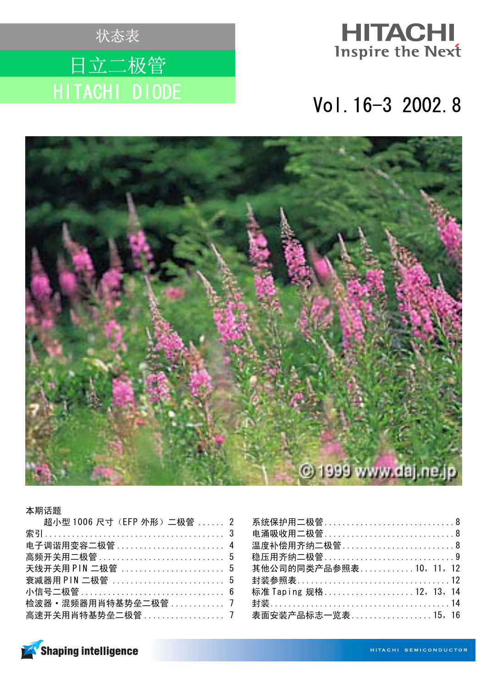





### 本期话题

| 超小型 1006 尺寸 (EFP 外形) 二极管  2 |  |
|-----------------------------|--|
|                             |  |
| 电子调谐用变容二极管  4               |  |
| 高频开关用二极管 ……………………………… 5     |  |
|                             |  |
|                             |  |
|                             |  |
| 检波器 • 混频器用肖特基势垒二极管 7        |  |
| 高速开关用肖特基势垒二极管 …………………… 7    |  |

| 系统保护用二极管8              |
|------------------------|
| 电涌吸收用二极管8              |
| 温度补偿用齐纳二极管8            |
| 稳压用齐纳二极管…………………………………9 |
| 其他公司的同类产品参照表10, 11, 12 |
| 封装参照表12                |
| 标准 Taping 规格12, 13, 14 |
| 封装………………………………………………14 |
| 表面安装产品标志一览表15, 16      |

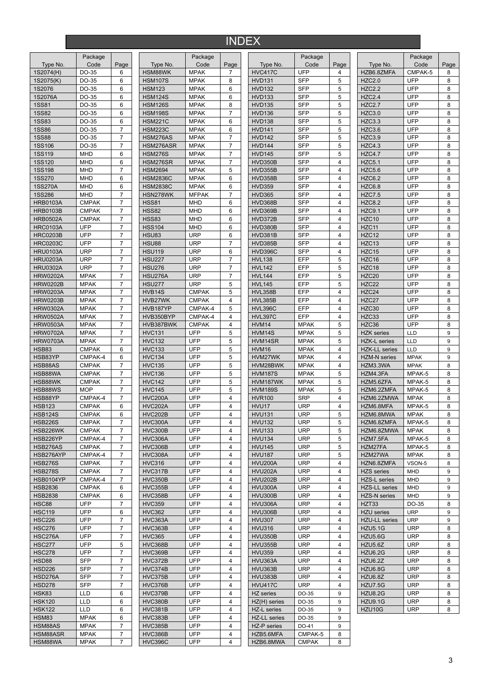# INDEX

|                 | Package      |                          |                 | Package      |                |                     | Package      |                         |                      | Package     |      |
|-----------------|--------------|--------------------------|-----------------|--------------|----------------|---------------------|--------------|-------------------------|----------------------|-------------|------|
| Type No.        | Code         | Page                     | Type No.        | Code         | Page           | Type No.            | Code         | Page                    | Type No.             | Code        | Page |
| 1S2074(H)       | DO-35        | 6                        | HSM88WK         | <b>MPAK</b>  | $\overline{7}$ | <b>HVC417C</b>      | <b>UFP</b>   | 4                       | HZB6.8ZMFA           | CMPAK-5     | 8    |
| 1S2075(K)       | DO-35        | 6                        | <b>HSM107S</b>  | <b>MPAK</b>  | 8              | <b>HVD131</b>       | <b>SFP</b>   | 5                       | <b>HZC2.0</b>        | UFP         | 8    |
| 1S2076          | DO-35        | 6                        | <b>HSM123</b>   | <b>MPAK</b>  | 6              | <b>HVD132</b>       | <b>SFP</b>   | 5                       | <b>HZC2.2</b>        | UFP         | 8    |
| 1S2076A         | DO-35        | 6                        | <b>HSM124S</b>  | <b>MPAK</b>  | 6              | <b>HVD133</b>       | <b>SFP</b>   | 5                       | <b>HZC2.4</b>        | UFP         | 8    |
| <b>1SS81</b>    | DO-35        | 6                        | <b>HSM126S</b>  | <b>MPAK</b>  | 8              | <b>HVD135</b>       | <b>SFP</b>   | 5                       | <b>HZC2.7</b>        | UFP         | 8    |
| <b>1SS82</b>    | DO-35        | 6                        | <b>HSM198S</b>  | <b>MPAK</b>  | $\overline{7}$ | HVD136              | <b>SFP</b>   | 5                       | <b>HZC3.0</b>        | UFP         | 8    |
| <b>1SS83</b>    | DO-35        | 6                        | <b>HSM221C</b>  | <b>MPAK</b>  | 6              | <b>HVD138</b>       | <b>SFP</b>   | 5                       | <b>HZC3.3</b>        | UFP         | 8    |
| <b>1SS86</b>    |              | $\overline{7}$           |                 |              | 6              |                     | <b>SFP</b>   | 5                       | <b>HZC3.6</b>        | UFP         | 8    |
|                 | DO-35        |                          | <b>HSM223C</b>  | <b>MPAK</b>  |                | <b>HVD141</b>       |              |                         |                      |             |      |
| <b>1SS88</b>    | DO-35        | $\overline{7}$           | HSM276AS        | <b>MPAK</b>  | $\overline{7}$ | <b>HVD142</b>       | <b>SFP</b>   | 5                       | <b>HZC3.9</b>        | <b>UFP</b>  | 8    |
| <b>1SS106</b>   | DO-35        | $\overline{7}$           | HSM276ASR       | <b>MPAK</b>  | $\overline{7}$ | <b>HVD144</b>       | <b>SFP</b>   | 5                       | <b>HZC4.3</b>        | UFP         | 8    |
| <b>1SS119</b>   | <b>MHD</b>   | 6                        | <b>HSM276S</b>  | <b>MPAK</b>  | $\overline{7}$ | <b>HVD145</b>       | <b>SFP</b>   | 5                       | <b>HZC4.7</b>        | UFP         | 8    |
| <b>1SS120</b>   | <b>MHD</b>   | 6                        | HSM276SR        | <b>MPAK</b>  | $\overline{7}$ | HVD350B             | <b>SFP</b>   | 4                       | <b>HZC5.1</b>        | <b>UFP</b>  | 8    |
| <b>1SS198</b>   | <b>MHD</b>   | $\overline{7}$           | <b>HSM2694</b>  | <b>MPAK</b>  | 5              | HVD355B             | <b>SFP</b>   | 4                       | <b>HZC5.6</b>        | UFP         | 8    |
| <b>1SS270</b>   | <b>MHD</b>   | 6                        | <b>HSM2836C</b> | <b>MPAK</b>  | 6              | HVD358B             | <b>SFP</b>   | $\overline{\mathbf{4}}$ | <b>HZC6.2</b>        | UFP         | 8    |
| 1SS270A         | <b>MHD</b>   | 6                        | <b>HSM2838C</b> | <b>MPAK</b>  | 6              | <b>HVD359</b>       | <b>SFP</b>   | 4                       | <b>HZC6.8</b>        | <b>UFP</b>  | 8    |
| <b>1SS286</b>   | <b>MHD</b>   | $\overline{7}$           | HSN278WK        | <b>MFPAK</b> | $\overline{7}$ | <b>HVD365</b>       | <b>SFP</b>   | 4                       | <b>HZC7.5</b>        | UFP         | 8    |
| <b>HRB0103A</b> | <b>CMPAK</b> | $\overline{7}$           | <b>HSS81</b>    | <b>MHD</b>   | 6              | HVD368B             | <b>SFP</b>   | $\overline{\mathbf{4}}$ | <b>HZC8.2</b>        | UFP         | 8    |
| <b>HRB0103B</b> | <b>CMPAK</b> | 7                        | <b>HSS82</b>    | <b>MHD</b>   | 6              | HVD369B             | <b>SFP</b>   | $\overline{4}$          | <b>HZC9.1</b>        | <b>UFP</b>  | 8    |
| <b>HRB0502A</b> | <b>CMPAK</b> | $\overline{7}$           | <b>HSS83</b>    | <b>MHD</b>   | 6              | HVD372B             | <b>SFP</b>   | 4                       | HZC10                | UFP         | 8    |
| <b>HRC0103A</b> | UFP          | $\overline{7}$           | <b>HSS104</b>   | <b>MHD</b>   | 6              | HVD380B             | <b>SFP</b>   | 4                       | HZC11                | UFP         | 8    |
| <b>HRC0203B</b> | UFP          | $\overline{7}$           | <b>HSU83</b>    | <b>URP</b>   | 6              | HVD381B             | <b>SFP</b>   | $\overline{\mathbf{4}}$ | HZC12                | UFP         | 8    |
|                 |              |                          |                 |              |                |                     |              |                         |                      |             |      |
| <b>HRC0203C</b> | UFP          | $\overline{7}$           | <b>HSU88</b>    | <b>URP</b>   | $\overline{7}$ | <b>HVD385B</b>      | <b>SFP</b>   | 4                       | HZC13                | UFP         | 8    |
| <b>HRU0103A</b> | <b>URP</b>   | $\overline{\mathcal{I}}$ | <b>HSU119</b>   | <b>URP</b>   | 6              | HVD396C             | <b>SFP</b>   | 4                       | HZC15                | <b>UFP</b>  | 8    |
| <b>HRU0203A</b> | <b>URP</b>   | $\overline{7}$           | <b>HSU227</b>   | <b>URP</b>   | $\overline{7}$ | <b>HVL138</b>       | EFP          | 5                       | HZC16                | UFP         | 8    |
| <b>HRU0302A</b> | <b>URP</b>   | $\overline{7}$           | <b>HSU276</b>   | <b>URP</b>   | $\overline{7}$ | <b>HVL142</b>       | EFP          | 5                       | HZC18                | UFP         | 8    |
| <b>HRW0202A</b> | <b>MPAK</b>  | $\overline{\mathcal{I}}$ | <b>HSU276A</b>  | <b>URP</b>   | $\overline{7}$ | <b>HVL144</b>       | EFP          | 5                       | HZC20                | <b>UFP</b>  | 8    |
| <b>HRW0202B</b> | <b>MPAK</b>  | $\overline{7}$           | <b>HSU277</b>   | <b>URP</b>   | 5              | <b>HVL145</b>       | EFP          | 5                       | HZC22                | <b>UFP</b>  | 8    |
| <b>HRW0203A</b> | <b>MPAK</b>  | $\overline{7}$           | HVB14S          | <b>CMPAK</b> | 5              | <b>HVL358B</b>      | EFP          | 4                       | HZC24                | UFP         | 8    |
| <b>HRW0203B</b> | <b>MPAK</b>  | $\overline{7}$           | HVB27WK         | <b>CMPAK</b> | 4              | <b>HVL385B</b>      | EFP          | 4                       | HZC27                | UFP         | 8    |
| <b>HRW0302A</b> | <b>MPAK</b>  | 7                        | HVB187YP        | CMPAK-4      | 5              | <b>HVL396C</b>      | EFP          | 4                       | HZC30                | UFP         | 8    |
| <b>HRW0502A</b> | <b>MPAK</b>  | $\overline{7}$           | HVB350BYP       | CMPAK-4      | $\overline{4}$ | <b>HVL397C</b>      | EFP          | $\overline{\mathbf{4}}$ | HZC33                | <b>UFP</b>  | 8    |
|                 |              | $\overline{7}$           |                 |              | 4              | HVM14               |              |                         | HZC36                | UFP         | 8    |
| <b>HRW0503A</b> | <b>MPAK</b>  |                          | HVB387BWK       | <b>CMPAK</b> |                |                     | <b>MPAK</b>  | 5                       |                      |             |      |
| <b>HRW0702A</b> | <b>MPAK</b>  | 7                        | <b>HVC131</b>   | <b>UFP</b>   | 5              | HVM14S              | <b>MPAK</b>  | 5                       | <b>HZK</b> series    | <b>LLD</b>  | 9    |
| <b>HRW0703A</b> | <b>MPAK</b>  | $\overline{7}$           | <b>HVC132</b>   | <b>UFP</b>   | 5              | HVM14SR             | <b>MPAK</b>  | 5                       | <b>HZK-L</b> series  | LLD         | 9    |
| <b>HSB83</b>    | <b>CMPAK</b> | 6                        | <b>HVC133</b>   | <b>UFP</b>   | 5              | HVM16               | <b>MPAK</b>  | 4                       | <b>HZK-LL</b> series | LLD         | 9    |
| HSB83YP         | CMPAK-4      | 6                        | <b>HVC134</b>   | <b>UFP</b>   | 5              | HVM27WK             | <b>MPAK</b>  | 4                       | <b>HZM-N</b> series  | <b>MPAK</b> | 9    |
| HSB88AS         | <b>CMPAK</b> | $\overline{7}$           | <b>HVC135</b>   | <b>UFP</b>   | 5              | HVM28BWK            | <b>MPAK</b>  | 4                       | HZM3.3WA             | <b>MPAK</b> | 8    |
| HSB88WA         | <b>CMPAK</b> | $\overline{7}$           | <b>HVC136</b>   | <b>UFP</b>   | 5              | <b>HVM187S</b>      | <b>MPAK</b>  | 5                       | HZM4.3FA             | MPAK-5      | 8    |
| HSB88WK         | <b>CMPAK</b> | $\overline{7}$           | <b>HVC142</b>   | <b>UFP</b>   | 5              | HVM187WK            | <b>MPAK</b>  | 5                       | HZM5.6ZFA            | MPAK-5      | 8    |
| HSB88WS         | <b>MOP</b>   | $\overline{7}$           | <b>HVC145</b>   | <b>UFP</b>   | 5              | <b>HVM189S</b>      | <b>MPAK</b>  | 5                       | HZM6.2ZMFA           | MPAK-5      | 8    |
| HSB88YP         | CMPAK-4      | $\overline{7}$           | <b>HVC200A</b>  | <b>UFP</b>   | $\overline{4}$ | <b>HVR100</b>       | <b>SRP</b>   | 4                       | HZM6.2ZMWA           | <b>MPAK</b> | 8    |
| <b>HSB123</b>   | <b>CMPAK</b> | 6                        | <b>HVC202A</b>  | <b>UFP</b>   | 4              | HVU17               | <b>URP</b>   | 4                       | HZM6.8MFA            | MPAK-5      | 8    |
|                 |              | 6                        |                 | <b>UFP</b>   | $\overline{4}$ | <b>HVU131</b>       | <b>URP</b>   | 5                       |                      |             | 8    |
| <b>HSB124S</b>  | <b>CMPAK</b> |                          | <b>HVC202B</b>  |              |                |                     |              |                         | HZM6.8MWA            | <b>MPAK</b> |      |
| <b>HSB226S</b>  | <b>CMPAK</b> | 7                        | HVC300A         | <b>UFP</b>   | 4              | <b>HVU132</b>       | <b>URP</b>   | 5                       | HZM6.8ZMFA           | MPAK-5      | 8    |
| HSB226WK        | <b>CMPAK</b> | $\overline{7}$           | HVC300B         | <b>UFP</b>   | 4              | <b>HVU133</b>       | <b>URP</b>   | 5                       | HZM6.8ZMWA           | <b>MPAK</b> | 8    |
| HSB226YP        | CMPAK-4      | $\overline{7}$           | HVC306A         | <b>UFP</b>   | $\overline{4}$ | <b>HVU134</b>       | <b>URP</b>   | 5                       | HZM7.5FA             | MPAK-5      | 8    |
| HSB276AS        | <b>CMPAK</b> | $\overline{7}$           | HVC306B         | <b>UFP</b>   | 4              | <b>HVU145</b>       | <b>URP</b>   | 5                       | HZM27FA              | MPAK-5      | 8    |
| HSB276AYP       | CMPAK-4      | $\overline{7}$           | HVC308A         | <b>UFP</b>   | 4              | <b>HVU187</b>       | <b>URP</b>   | 5                       | HZM27WA              | <b>MPAK</b> | 8    |
| <b>HSB276S</b>  | <b>CMPAK</b> | $\overline{7}$           | <b>HVC316</b>   | <b>UFP</b>   | 4              | <b>HVU200A</b>      | <b>URP</b>   | 4                       | HZN6.8ZMFA           | VSON-5      | 8    |
| <b>HSB278S</b>  | <b>CMPAK</b> | 7                        | HVC317B         | <b>UFP</b>   | 4              | HVU202A             | <b>URP</b>   | 4                       | <b>HZS</b> series    | <b>MHD</b>  | 9    |
| HSB0104YP       | CMPAK-4      | 7                        | <b>HVC350B</b>  | <b>UFP</b>   | 4              | <b>HVU202B</b>      | <b>URP</b>   | 4                       | HZS-L series         | <b>MHD</b>  | 9    |
| <b>HSB2836</b>  | <b>CMPAK</b> | 6                        | <b>HVC355B</b>  | <b>UFP</b>   | 4              | HVU300A             | <b>URP</b>   | 4                       | <b>HZS-LL series</b> | <b>MHD</b>  | 9    |
| <b>HSB2838</b>  | <b>CMPAK</b> | 6                        | HVC358B         | <b>UFP</b>   | 4              | HVU300B             | <b>URP</b>   | 4                       | <b>HZS-N</b> series  | <b>MHD</b>  | 9    |
| <b>HSC88</b>    | UFP          | $\boldsymbol{7}$         | <b>HVC359</b>   | <b>UFP</b>   | 4              | HVU306A             | <b>URP</b>   | 4                       | HZT33                | DO-35       | 8    |
| <b>HSC119</b>   | <b>UFP</b>   | 6                        | <b>HVC362</b>   | <b>UFP</b>   | 4              | HVU306B             | <b>URP</b>   | 4                       | <b>HZU</b> series    | <b>URP</b>  | 9    |
| <b>HSC226</b>   | <b>UFP</b>   | $\overline{7}$           |                 | <b>UFP</b>   | 4              |                     |              |                         | <b>HZU-LL</b> series |             |      |
|                 |              |                          | HVC363A         |              |                | <b>HVU307</b>       | <b>URP</b>   | 4                       |                      | <b>URP</b>  | 9    |
| <b>HSC276</b>   | <b>UFP</b>   | $\overline{7}$           | HVC363B         | <b>UFP</b>   | 4              | <b>HVU316</b>       | <b>URP</b>   | 4                       | <b>HZU5.1G</b>       | <b>URP</b>  | 8    |
| HSC276A         | <b>UFP</b>   | $\overline{7}$           | <b>HVC365</b>   | <b>UFP</b>   | 4              | <b>HVU350B</b>      | <b>URP</b>   | 4                       | HZU5.6G              | <b>URP</b>  | 8    |
| <b>HSC277</b>   | <b>UFP</b>   | 5                        | HVC368B         | <b>UFP</b>   | 4              | <b>HVU355B</b>      | <b>URP</b>   | 4                       | <b>HZU5.6Z</b>       | <b>URP</b>  | 8    |
| <b>HSC278</b>   | <b>UFP</b>   | $\overline{7}$           | HVC369B         | <b>UFP</b>   | 4              | <b>HVU359</b>       | <b>URP</b>   | 4                       | HZU6.2G              | <b>URP</b>  | 8    |
| HSD88           | <b>SFP</b>   | $\overline{7}$           | HVC372B         | <b>UFP</b>   | 4              | HVU363A             | <b>URP</b>   | 4                       | HZU6.2Z              | <b>URP</b>  | 8    |
| <b>HSD226</b>   | <b>SFP</b>   | 7                        | HVC374B         | <b>UFP</b>   | 4              | HVU363B             | <b>URP</b>   | 4                       | HZU6.8G              | <b>URP</b>  | 8    |
| HSD276A         | <b>SFP</b>   | $\overline{7}$           | HVC375B         | <b>UFP</b>   | 4              | <b>HVU383B</b>      | <b>URP</b>   | 4                       | HZU6.8Z              | <b>URP</b>  | 8    |
| <b>HSD278</b>   | <b>SFP</b>   | $\overline{7}$           | HVC376B         | <b>UFP</b>   | 4              | <b>HVU417C</b>      | <b>URP</b>   | 4                       | HZU7.5G              | <b>URP</b>  | 8    |
| HSK83           | <b>LLD</b>   | 6                        | HVC379B         | <b>UFP</b>   | 4              | HZ series           | DO-35        | 9                       | <b>HZU8.2G</b>       | <b>URP</b>  | 8    |
|                 |              |                          |                 |              |                |                     |              |                         |                      |             |      |
| <b>HSK120</b>   | <b>LLD</b>   | 6                        | <b>HVC380B</b>  | <b>UFP</b>   | 4              | HZ(H) series        | DO-35        | 9                       | <b>HZU9.1G</b>       | <b>URP</b>  | 8    |
| <b>HSK122</b>   | <b>LLD</b>   | 6                        | HVC381B         | <b>UFP</b>   | $\overline{4}$ | HZ-L series         | DO-35        | 9                       | HZU10G               | <b>URP</b>  | 8    |
| <b>HSM83</b>    | <b>MPAK</b>  | 6                        | HVC383B         | <b>UFP</b>   | 4              | <b>HZ-LL</b> series | DO-35        | 9                       |                      |             |      |
| HSM88AS         | <b>MPAK</b>  | $\overline{7}$           | <b>HVC385B</b>  | <b>UFP</b>   | 4              | HZ-P series         | DO-41        | 9                       |                      |             |      |
| HSM88ASR        | <b>MPAK</b>  | $\overline{7}$           | HVC386B         | <b>UFP</b>   | 4              | HZB5.6MFA           | CMPAK-5      | 8                       |                      |             |      |
| HSM88WA         | <b>MPAK</b>  | 7                        | <b>HVC396C</b>  | <b>UFP</b>   | 4              | HZB6.8MWA           | <b>CMPAK</b> | 8                       |                      |             |      |
|                 |              |                          |                 |              |                |                     |              |                         |                      |             |      |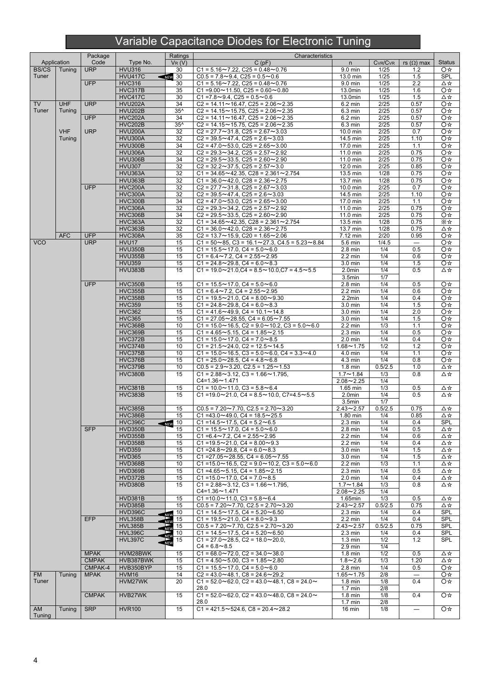# Variable Capacitance Diodes for Electronic Tuning

|              |             | Package      |                                  | Ratings                         | Characteristics                                                                                                       |                       |                      |                                 |               |
|--------------|-------------|--------------|----------------------------------|---------------------------------|-----------------------------------------------------------------------------------------------------------------------|-----------------------|----------------------|---------------------------------|---------------|
|              | Application | Code         | Type No.                         | $V_R(V)$                        | C(pF)                                                                                                                 | n                     | CVR/CVR              | rs $(\Omega)$ max               | <b>Status</b> |
| <b>BS/CS</b> | Tuning      | <b>URP</b>   | <b>HVU316</b>                    | 30                              | $C1 = 5.16 \sim 7.22$ , $C25 = 0.48 \sim 0.76$                                                                        | 9.0 min               | 1/25                 | $1.2$                           | O☆            |
| Tuner        |             |              | <b>HVU417C</b>                   | $\sqrt{N}$ EW 30                | $CO.5 = 7.8 \sim 9.4$ , $C25 = 0.5 \sim 0.6$                                                                          | 13.0 min              | 1/25                 | 1.5                             | <b>SPL</b>    |
|              |             | <b>UFP</b>   | <b>HVC316</b>                    | 30                              | $C1 = 5.16 \sim 7.22$ , $C25 = 0.48 \sim 0.76$                                                                        | 9.0 min               | 1/25                 | 2.2                             | Δ☆            |
|              |             |              | <b>HVC317B</b>                   | 35                              | C1= $9.00 \sim 11.50$ , C25 = $0.60 \sim 0.80$                                                                        | $13.0$ min            | $\frac{1}{25}$       | 1.6                             | O☆            |
|              |             |              | <b>HVC417C</b>                   | 30                              | $C1 = 7.8 \sim 9.4$ , $C25 = 0.5 \sim 0.6$                                                                            | 13.0min               | 1/25                 | 1.5                             | Δ☆            |
| <b>TV</b>    | <b>UHF</b>  | <b>URP</b>   | <b>HVU202A</b>                   | 34                              | $C2 = 14.11 \sim 16.47$ , $C25 = 2.06 \sim 2.35$                                                                      | 6.2 min               | 2/25                 | 0.57                            | O☆            |
| Tuner        | Tuning      |              | <b>HVU202B</b>                   | $35^$                           | $C2 = 14.15 \sim 15.75$ , $C25 = 2.06 \sim 2.35$                                                                      | 6.3 min               | 2/25                 | 0.57                            | O☆            |
|              |             | <b>UFP</b>   | <b>HVC202A</b>                   | 34                              | $C2 = 14.11 \sim 16.47$ , $C25 = 2.06 \sim 2.35$                                                                      | $6.2$ min             | 2/25                 | 0.57                            | O☆            |
|              | <b>VHF</b>  | <b>URP</b>   | <b>HVC202B</b><br><b>HVU200A</b> | $35^$                           | $C2 = 14.15 \sim 15.75$ , $C25 = 2.06 \sim 2.35$<br>$C2 = 27.7 \approx 31.8$ , $C25 = 2.67 \approx 3.03$              | 6.3 min<br>$10.0$ min | 2/25<br>2/25         | 0.57                            | O☆            |
|              | Tuning      |              | HVU300A                          | 32                              | $C2 = 39.5 \sim 47.4$ , $C25 = 2.6 \sim 3.03$                                                                         |                       | 2/25                 | 0.7                             | O☆            |
|              |             |              | HVU300B                          | 32<br>34                        | $C2 = 47.0 \sim 53.0$ , $C25 = 2.65 \sim 3.00$                                                                        | 14.5 min<br>17.0 min  | 2/25                 | 1.10<br>1.1                     | O☆<br>O☆      |
|              |             |              | <b>HVU306A</b>                   | 32                              | $C2 = 29.3 \sim 34.2$ , $C25 = 2.57 \sim 2.92$                                                                        | 11.0 min              | 2/25                 | 0.75                            | O ‡           |
|              |             |              | <b>HVU306B</b>                   | 34                              | $C2 = 29.5 \sim 33.5$ . $C25 = 2.60 \sim 2.90$                                                                        | 11.0 min              | 2/25                 | 0.75                            | O☆            |
|              |             |              | <b>HVU307</b>                    | 32                              | $C2 = 32.2 \sim 37.5$ , $C25 = 2.57 \sim 3.0$                                                                         | $12.0 \text{ min}$    | 2/25                 | 0.85                            | O☆            |
|              |             |              | HVU363A                          | 32                              | $C1 = 34.65 \sim 42.35$ , $C28 = 2.361 \sim 2.754$                                                                    | 13.5 min              | 1/28                 | 0.75                            | O☆            |
|              |             |              | HVU363B                          | 32                              | $C1 = 36.0 \sim 42.0$ , $C28 = 2.36 \sim 2.75$                                                                        | 13.7 min              | 1/28                 | 0.75                            | O☆            |
|              |             | <b>UFP</b>   | <b>HVC200A</b>                   | 32                              | $C2 = 27.7 \sim 31.8$ , $C25 = 2.67 \sim 3.03$                                                                        | 10.0 min              | 2/25                 | 0.7                             | O☆            |
|              |             |              | HVC300A                          | 32                              | $C2 = 39.5 \sim 47.4$ , $C25 = 2.6 \sim 3.03$                                                                         | 14.5 min              | 2/25                 | 1.10                            | O☆            |
|              |             |              | <b>HVC300B</b>                   | 34                              | $C2 = 47.0 \sim 53.0$ , $C25 = 2.65 \sim 3.00$                                                                        | 17.0 min              | 2/25                 | 1.1                             | O☆            |
|              |             |              | HVC306A                          | 32                              | $C2 = 29.3 \sim 34.2$ , $C25 = 2.57 \sim 2.92$                                                                        | 11.0 min              | 2/25                 | 0.75                            | O☆            |
|              |             |              | <b>HVC306B</b>                   | 34                              | $C2 = 29.5 \sim 33.5$ , $C25 = 2.60 \sim 2.90$                                                                        | $11.0 \text{ min}$    | 2/25                 | 0.75                            | O☆            |
|              |             |              | HVC363A                          | 32                              | $C1 = 34.65 \sim 42.35$ , $C28 = 2.361 \sim 2.754$                                                                    | 13.5 min              | 1/28                 | 0.75                            | X☆            |
|              |             |              | <b>HVC363B</b>                   | 32                              | $C1 = 36.0 \sim 42.0$ , $C28 = 2.36 \sim 2.75$                                                                        | 13.7 min              | 1/28                 | 0.75                            | Δ☆            |
|              | <b>AFC</b>  | <b>UFP</b>   |                                  | 35                              |                                                                                                                       |                       | 2/20                 | 0.95                            |               |
| <b>VCO</b>   |             | <b>URP</b>   | HVC308A<br>HVU17                 | 15                              | $C2 = 13.7 \sim 15.9$ , $C20 = 1.65 \sim 2.06$<br>$C1 = 50 \sim 85$ , $C3 = 16.1 \sim 27.3$ , $C4.5 = 5.23 \sim 8.84$ | 7.12 min<br>5.6 min   | 1/4.5                |                                 | O☆            |
|              |             |              | HVU350B                          | 15                              | $C1 = 15.5 \sim 17.0$ , $C4 = 5.0 \sim 6.0$                                                                           | $2.8 \text{ min}$     | 1/4                  | $\overline{\phantom{m}}$<br>0.5 | O☆<br>O☆      |
|              |             |              | <b>HVU355B</b>                   | 15                              | $C1 = 6.4 \sim 7.2$ , $C4 = 2.55 \sim 2.95$                                                                           | $2.2 \text{ min}$     | 1/4                  | 0.6                             | O☆            |
|              |             |              | <b>HVU359</b>                    | 15                              | $C1 = 24.8 \sim 29.8$ , $C4 = 6.0 \sim 8.3$                                                                           | $3.0 \text{ min}$     | 1/4                  | 1.5                             | O☆            |
|              |             |              | <b>HVU383B</b>                   | 15                              | $C1 = 19.0 \times 21.0$ . $C4 = 8.5 \times 10.0$ . $C7 = 4.5 \times 5.5$                                              | $2.0$ min             | 1/4                  | 0.5                             | Δ☆            |
|              |             |              |                                  |                                 |                                                                                                                       | 3.5min                | 1/7                  |                                 |               |
|              |             | <b>UFP</b>   | <b>HVC350B</b>                   | 15                              | $C1 = 15.5 \sim 17.0$ , $C4 = 5.0 \sim 6.0$                                                                           | $2.8$ min             | 1/4                  | 0.5                             | O ☆           |
|              |             |              | <b>HVC355B</b>                   | 15                              | $C1 = 6.4 \sim 7.2$ , $C4 = 2.55 \sim 2.95$                                                                           | $2.2 \text{ min}$     | 1/4                  | 0.6                             | O☆            |
|              |             |              | <b>HVC358B</b>                   | 15                              | $C1 = 19.5 \sim 21.0$ , $C4 = 8.00 \sim 9.30$                                                                         | $2.2$ min             | 1/4                  | 0.4                             | O☆            |
|              |             |              | <b>HVC359</b>                    | 15                              | $C1 = 24.8 \sim 29.8$ , $C4 = 6.0 \sim 8.3$                                                                           | 3.0 min               | 1/4                  | 1.5                             | O☆            |
|              |             |              | <b>HVC362</b>                    | 15                              | $C1 = 41.6 \sim 49.9$ , $C4 = 10.1 \sim 14.8$                                                                         | $3.0 \text{ min}$     | 1/4                  | 2.0                             | O☆            |
|              |             |              | <b>HVC365</b>                    | 15                              | $C1 = 27.05 \sim 28.55$ , $C4 = 6.05 \sim 7.55$                                                                       | 3.0 min               | 1/4                  | 1.5                             | O☆            |
|              |             |              | <b>HVC368B</b>                   | 10                              | $C1 = 15.0 \sim 16.5$ , $C2 = 9.0 \sim 10.2$ , $C3 = 5.0 \sim 6.0$                                                    | $2.2 \text{ min}$     | 1/3                  | 1.1                             | O☆            |
|              |             |              | <b>HVC369B</b>                   | 15                              | $C1 = 4.65 \sim 5.15$ , $C4 = 1.85 \sim 2.15$                                                                         | $2.3 \text{ min}$     | 1/4                  | 0.5                             | O☆            |
|              |             |              | HVC372B                          | 15                              | $C1 = 15.0 \sim 17.0$ , $C4 = 7.0 \sim 8.5$                                                                           | $2.0$ min             | 1/4                  | 0.4                             | O☆            |
|              |             |              | <b>HVC374B</b>                   | 10                              | $C1 = 21.5 \sim 24.0$ , $C2 = 12.5 \sim 14.5$                                                                         | $1.68 - 1.75$         | 1/2                  | 1.2                             | O☆            |
|              |             |              | HVC375B                          | 10                              | $C1 = 15.0 \times 16.5$ , $C3 = 5.0 \times 6.0$ , $C4 = 3.3 \times 4.0$                                               | $\overline{4.0}$ min  | 1/4                  | 1.1                             | O☆            |
|              |             |              | HVC376B                          | 15                              | $C1 = 25.0 \times 28.5$ , $C4 = 4.8 \times 6.8$                                                                       | 4.3 min               | 1/4                  | 0.8                             | O☆            |
|              |             |              | HVC379B                          | 10                              | $C0.5 = 2.9 \sim 3.20$ , $C2.5 = 1.25 \sim 1.53$                                                                      | $1.8$ min             | 0.5/2.5              | 1.0                             | ∆☆            |
|              |             |              | <b>HVC380B</b>                   | 15                              | $C1 = 2.88 \sim 3.12$ , $C3 = 1.66 \sim 1.795$ ,                                                                      | $1.7 - 1.84$          | 1/3                  | 0.8                             | Δ☆            |
|              |             |              |                                  |                                 | $C4 = 1.36 \sim 1.471$                                                                                                | $2.08 - 2.25$         | 1/4                  |                                 |               |
|              |             |              | <b>HVC381B</b>                   | 15                              | $C1 = 10.0 \sim 11.0$ , $C3 = 5.8 \sim 6.4$                                                                           | 1.65 min              | 1/3                  | 0.5                             | ∆☆            |
|              |             |              | <b>HVC383B</b>                   | 15                              | C1=19.0~21.0, C4 = $8.5$ ~10.0, C7=4.5~5.5                                                                            | 2.0min                | 1/4                  | 0.5                             | Δ☆            |
|              |             |              |                                  |                                 |                                                                                                                       | 3.5min                | 1/7                  |                                 |               |
|              |             |              | <b>HVC385B</b>                   | 15                              | $C0.5 = 7.20 \sim 7.70$ , $C2.5 = 2.70 \sim 3.20$                                                                     | $2.43 - 2.57$         | 0.5/2.5              | 0.75                            | Δ☆            |
|              |             |              | HVC386B                          | 15                              | C1=43.0~49.0, C4 = $18.5 \sim 25.5$                                                                                   | 1.80 min              | 1/4                  | 0.85                            | D☆            |
|              |             |              | <b>HVC396C</b>                   | $\overline{\phantom{a}}$ NEW 10 | C1 = 14.5 $\sim$ 17.5, C4 = 5.2 $\sim$ 6.5                                                                            | $2.3 \text{ min}$     | 1/4                  | 0.4                             | <b>SPL</b>    |
|              |             | <b>SFP</b>   | <b>HVD350B</b>                   | 15                              | $C1 = 15.5 \sim 17.0$ . $C4 = 5.0 \sim 6.0$                                                                           | $2.8 \text{ min}$     | 1/4                  | 0.5                             | ∆☆            |
|              |             |              | <b>HVD355B</b>                   | 15                              | C1=6.4~7.2. C4 = $2.55 \sim 2.95$                                                                                     | $2.2 \text{ min}$     | 1/4                  | 0.6                             | Δ☆            |
|              |             |              | HVD358B                          | 15                              | $C1 = 19.5 \sim 21.0$ , $C4 = 8.00 \sim 9.3$                                                                          | $2.2 \text{ min}$     | 1/4                  | 0.4                             | ∆☆            |
|              |             |              | <b>HVD359</b>                    | 15                              | C1=24.8~29.8, C4 = $6.0$ ~8.3                                                                                         | $3.0$ min             | 1/4                  | 1.5                             | Δ☆            |
|              |             |              | <b>HVD365</b>                    | 15                              | $C1 = 27.05 \sim 28.55$ , $C4 = 6.05 \sim 7.55$                                                                       | 3.0 min               | 1/4                  | 1.5                             | Δ☆            |
|              |             |              | HVD368B                          | 10                              | $C1 = 15.0 \times 16.5$ , $C2 = 9.0 \times 10.2$ , $C3 = 5.0 \times 6.0$                                              | $2.2 \text{ min}$     | 1/3                  | 1.1                             | ∆☆            |
|              |             |              | HVD369B                          | 15                              | $C1 = 4.65 \sim 5.15$ , $C4 = 1.85 \sim 2.15$                                                                         | $2.3 \text{ min}$     | 1/4                  | 0.5                             | Δ☆            |
|              |             |              | HVD372B                          | 15                              | $C1 = 15.0 \sim 17.0$ , $C4 = 7.0 \sim 8.5$                                                                           | $2.0$ min             | 1/4                  | 0.4                             | ∆☆            |
|              |             |              | HVD380B                          | $\overline{15}$                 | $C1 = 2.88 \sim 3.12$ , $C3 = 1.66 \sim 1.795$ ,                                                                      | $1.7 - 1.84$          | 1/3                  | 0.8                             | Δ☆            |
|              |             |              |                                  |                                 | $C4 = 1.36 \sim 1.471$                                                                                                | $2.08 - 2.25$         | 1/4                  |                                 |               |
|              |             |              | <b>HVD381B</b>                   | 15                              | $C1 = 10.0 \sim 11.0$ , $C3 = 5.8 \sim 6.4$                                                                           | 1.65min               | 1/3                  | 0.5                             | Δ☆            |
|              |             |              | <b>HVD385B</b>                   | 15                              | $CO.5 = 7.20 \sim 7.70$ . $C2.5 = 2.70 \sim 3.20$                                                                     | $2.43 - 2.57$         | 0.5/2.5              | 0.75                            | Δ☆            |
|              |             |              | HVD396C                          | 10                              | $C1 = 14.5 \sim 17.5$ , $C4 = 5.20 \sim 6.50$                                                                         | $2.3 \text{ min}$     | 1/4                  | 0.4                             | SPL           |
|              |             | <b>EFP</b>   | <b>HVL358B</b>                   | NEW<br>NEW<br>15                | $C1 = 19.5 \sim 21.0$ , $C4 = 8.0 \sim 9.3$                                                                           | $2.2 \text{ min}$     | 1/4                  | 0.4                             | <b>SPL</b>    |
|              |             |              | <b>HVL385B</b>                   | 15                              | $CO.5 = 7.20 \sim 7.70$ , $C2.5 = 2.70 \sim 3.20$                                                                     | $2.43 - 2.57$         | $0.5/\overline{2.5}$ | 0.75                            | SPL           |
|              |             |              | <b>HVL396C</b>                   | ∍<br>10                         | $C1 = 14.5 \sim 17.5$ , $C4 = 5.20 \sim 6.50$                                                                         | $2.3 \text{ min}$     | 1/4                  | 0.4                             | SPL           |
|              |             |              | HVL397C                          | 15<br>$\sum_{N\in\mathbb{N}}$   | $C1 = 27.0 \sim 28.5$ , $C2 = 18.0 \sim 20.0$ ,                                                                       | $1.3 \text{ min}$     | 1/2                  | 1.2                             | <b>SPL</b>    |
|              |             |              |                                  |                                 | $C4 = 6.8 \sim 8.5$                                                                                                   | $2.9$ min             | 1/4                  |                                 |               |
|              |             | <b>MPAK</b>  | HVM28BWK                         | 15                              | $C1 = 68.0 \sim 72.0$ , $C2 = 34.0 \sim 38.0$                                                                         | $1.8$ min             | 1/2                  | 0.5                             | ∆☆            |
|              |             | <b>CMPAK</b> | HVB387BWK                        | 15                              | $C1 = 4.50 \sim 5.00$ , $C3 = 1.85 \sim 2.80$                                                                         | $1.8 - 2.6$           | 1/3                  | 1.20                            | ∆☆            |
|              |             | CMPAK-4      | HVB350BYP                        | 15                              | $C1 = 15.5 \sim 17.0$ , $C4 = 5.0 \sim 6.0$                                                                           | $2.8$ min             | 1/4                  | 0.5                             | O☆            |
| <b>FM</b>    | Tuning      | <b>MPAK</b>  | HVM16                            | 14                              | $C2 = 43.0 \sim 48.1$ , $C8 = 24.6 \sim 29.2$                                                                         | $1.65 - 1.75$         | 2/8                  |                                 | O☆            |
| Tuner        |             |              | HVM27WK                          | 20                              | $C1 = 52.0 \sim 62.0$ . $C2 = 43.0 \sim 48.1$ . $C8 = 24.0 \sim$                                                      | $1.8 \text{ min}$     | 1/8                  | 0.4                             | O☆            |
|              |             |              |                                  |                                 | 28.0                                                                                                                  | $1.7$ min             | 2/8                  |                                 |               |
|              |             | <b>CMPAK</b> | HVB27WK                          | 15                              | $C1 = 52.0 \sim 62.0$ , $C2 = 43.0 \sim 48.0$ , $C8 = 24.0 \sim$                                                      | $1.8$ min             | 1/8                  | 0.4                             | O☆            |
|              |             |              |                                  |                                 | 28.0                                                                                                                  | $1.7$ min             | 2/8                  |                                 |               |
| AM           | Tuning      | <b>SRP</b>   | <b>HVR100</b>                    | 15                              | $C1 = 421.5 \sim 524.6$ , $C8 = 20.4 \sim 28.2$                                                                       | 16 min                | 1/8                  | $\equiv$                        | O☆            |
| Tuning       |             |              |                                  |                                 |                                                                                                                       |                       |                      |                                 |               |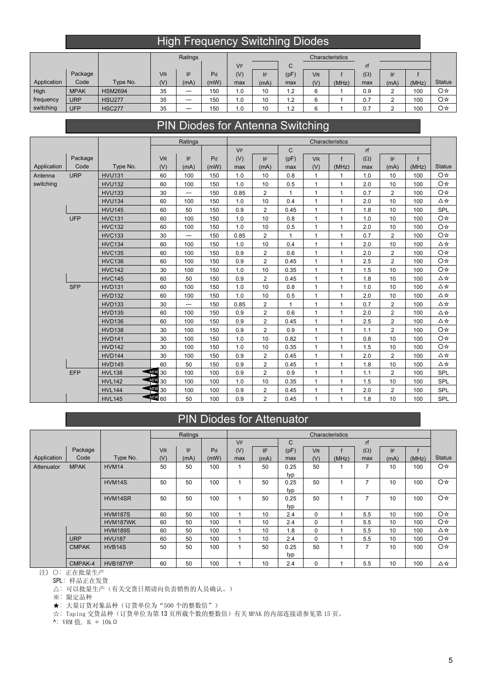# High Frequency Switching Diodes

|             |             |                |           | Ratings |      | Characteristics |      |            |                      |       |            |      |       |               |
|-------------|-------------|----------------|-----------|---------|------|-----------------|------|------------|----------------------|-------|------------|------|-------|---------------|
|             |             |                |           |         |      | <b>VF</b>       |      | ◡          |                      |       |            |      |       |               |
|             | Package     |                | <b>VR</b> | IF      | Pd   | (V)             |      | (pF)       | <b>V<sub>R</sub></b> |       | $(\Omega)$ | IF   |       |               |
| Application | Code        | Type No.       | (V)       | (mA)    | (mW) | max             | (mA) | max        | (V)                  | (MHz) | max        | (mA) | (MHz) | <b>Status</b> |
| High        | <b>MPAK</b> | <b>HSM2694</b> | 35        |         | 150  | 1.0             | 10   | 1.2        | 6                    |       | 0.9        |      | 100   | O☆            |
| frequency   | <b>URP</b>  | <b>HSU277</b>  | 35        |         | 150  | 1.0             | 10   | 1.2        | 6                    |       | 0.7        |      | 100   | O☆            |
| switching   | <b>UFP</b>  | <b>HSC277</b>  | 35        |         | 150  | 1.0             | 10   | - 2<br>ے . | 6                    |       | 0.7        |      | 100   | O☆            |

# PIN Diodes for Antenna Switching

|             |            |               |               | Ratings                  | Characteristics<br>$\mathsf{C}$<br>rf<br><b>VF</b> |      |                |              |                      |              |            |                |       |               |
|-------------|------------|---------------|---------------|--------------------------|----------------------------------------------------|------|----------------|--------------|----------------------|--------------|------------|----------------|-------|---------------|
|             |            |               |               |                          |                                                    |      |                |              |                      |              |            |                |       |               |
|             | Package    |               | <b>VR</b>     | IF                       | Pd                                                 | (V)  | IF.            | (pF)         | <b>V<sub>R</sub></b> | f            | $(\Omega)$ | IF             | f     |               |
| Application | Code       | Type No.      | (V)           | (mA)                     | (mW)                                               | max  | (mA)           | max          | (V)                  | (MHz)        | max        | (mA)           | (MHz) | <b>Status</b> |
| Antenna     | <b>URP</b> | <b>HVU131</b> | 60            | 100                      | 150                                                | 1.0  | 10             | 0.8          | $\mathbf{1}$         | $\mathbf{1}$ | 1.0        | 10             | 100   | O☆            |
| switching   |            | <b>HVU132</b> | 60            | 100                      | 150                                                | 1.0  | 10             | 0.5          | $\mathbf{1}$         | $\mathbf{1}$ | 2.0        | 10             | 100   | O☆            |
|             |            | <b>HVU133</b> | 30            | $\overline{\phantom{0}}$ | 150                                                | 0.85 | 2              | $\mathbf{1}$ | $\mathbf{1}$         | $\mathbf{1}$ | 0.7        | 2              | 100   | O☆            |
|             |            | <b>HVU134</b> | 60            | 100                      | 150                                                | 1.0  | 10             | 0.4          | $\mathbf{1}$         | $\mathbf{1}$ | 2.0        | 10             | 100   | Δ☆            |
|             |            | <b>HVU145</b> | 60            | 50                       | 150                                                | 0.9  | 2              | 0.45         | $\mathbf{1}$         | $\mathbf{1}$ | 1.8        | 10             | 100   | SPL           |
|             | <b>UFP</b> | <b>HVC131</b> | 60            | 100                      | 150                                                | 1.0  | 10             | 0.8          | $\mathbf{1}$         | $\mathbf{1}$ | 1.0        | 10             | 100   | O☆            |
|             |            | <b>HVC132</b> | 60            | 100                      | 150                                                | 1.0  | 10             | 0.5          | $\mathbf{1}$         | $\mathbf{1}$ | 2.0        | 10             | 100   | O☆            |
|             |            | <b>HVC133</b> | 30            | $\overline{\phantom{0}}$ | 150                                                | 0.85 | $\overline{2}$ | $\mathbf{1}$ | $\mathbf{1}$         | $\mathbf{1}$ | 0.7        | $\overline{2}$ | 100   | O☆            |
|             |            | <b>HVC134</b> | 60            | 100                      | 150                                                | 1.0  | 10             | 0.4          | $\mathbf{1}$         | $\mathbf{1}$ | 2.0        | 10             | 100   | Δ☆            |
|             |            | <b>HVC135</b> | 60            | 100                      | 150                                                | 0.9  | $\overline{2}$ | 0.6          | $\mathbf{1}$         | $\mathbf{1}$ | 2.0        | $\overline{2}$ | 100   | O☆            |
|             |            | <b>HVC136</b> | 60            | 100                      | 150                                                | 0.9  | $\overline{2}$ | 0.45         | $\mathbf{1}$         | $\mathbf{1}$ | 2.5        | $\overline{2}$ | 100   | O☆            |
|             |            | <b>HVC142</b> | 30            | 100                      | 150                                                | 1.0  | 10             | 0.35         | $\mathbf{1}$         | $\mathbf{1}$ | 1.5        | 10             | 100   | O☆            |
|             |            | <b>HVC145</b> | 60            | 50                       | 150                                                | 0.9  | $\overline{2}$ | 0.45         | $\mathbf{1}$         | $\mathbf{1}$ | 1.8        | 10             | 100   | Δ☆            |
|             | <b>SFP</b> | <b>HVD131</b> | 60            | 100                      | 150                                                | 1.0  | 10             | 0.8          | $\mathbf{1}$         | $\mathbf{1}$ | 1.0        | 10             | 100   | △☆            |
|             |            | <b>HVD132</b> | 60            | 100                      | 150                                                | 1.0  | 10             | 0.5          | $\mathbf{1}$         | $\mathbf{1}$ | 2.0        | 10             | 100   | Δ☆            |
|             |            | <b>HVD133</b> | 30            | $\overline{\phantom{0}}$ | 150                                                | 0.85 | $\overline{2}$ | $\mathbf{1}$ | 1                    | $\mathbf{1}$ | 0.7        | $\overline{2}$ | 100   | Δ☆            |
|             |            | <b>HVD135</b> | 60            | 100                      | 150                                                | 0.9  | $\overline{2}$ | 0.6          | $\mathbf{1}$         | $\mathbf{1}$ | 2.0        | $\mathbf 2$    | 100   | Δ☆            |
|             |            | <b>HVD136</b> | 60            | 100                      | 150                                                | 0.9  | $\overline{2}$ | 0.45         | $\mathbf{1}$         | $\mathbf{1}$ | 2.5        | $\overline{2}$ | 100   | Δ☆            |
|             |            | <b>HVD138</b> | 30            | 100                      | 150                                                | 0.9  | $\overline{2}$ | 0.9          | 1                    | $\mathbf{1}$ | 1.1        | $\overline{2}$ | 100   | O☆            |
|             |            | <b>HVD141</b> | 30            | 100                      | 150                                                | 1.0  | 10             | 0.82         | $\mathbf{1}$         | $\mathbf{1}$ | 0.8        | 10             | 100   | O☆            |
|             |            | <b>HVD142</b> | 30            | 100                      | 150                                                | 1.0  | 10             | 0.35         | $\mathbf{1}$         | $\mathbf{1}$ | 1.5        | 10             | 100   | O☆            |
|             |            | <b>HVD144</b> | 30            | 100                      | 150                                                | 0.9  | 2              | 0.45         | 1                    | $\mathbf{1}$ | 2.0        | $\overline{2}$ | 100   | Δ☆            |
|             |            | <b>HVD145</b> | 60            | 50                       | 150                                                | 0.9  | $\overline{2}$ | 0.45         | $\mathbf{1}$         | $\mathbf{1}$ | 1.8        | 10             | 100   | △☆            |
|             | EFP        | <b>HVL138</b> | NEW<br>30     | 100                      | 100                                                | 0.9  | $\overline{2}$ | 0.9          | 1                    | $\mathbf{1}$ | 1.1        | $\overline{2}$ | 100   | SPL           |
|             |            | <b>HVL142</b> | 44 30         | 100                      | 100                                                | 1.0  | 10             | 0.35         | $\mathbf{1}$         | $\mathbf{1}$ | 1.5        | 10             | 100   | SPL           |
|             |            | <b>HVL144</b> | <b>RED</b> 30 | 100                      | 100                                                | 0.9  | 2              | 0.45         | 1                    | $\mathbf{1}$ | 2.0        | $\overline{2}$ | 100   | SPL           |
|             |            | <b>HVL145</b> | 44 60         | 50                       | 100                                                | 0.9  | $\overline{2}$ | 0.45         | 1                    | 1            | 1.8        | 10             | 100   | SPL           |

### PIN Diodes for Attenuator

|             |              |                |           | Ratings |      |           |      |              |                      | Characteristics |                |      |       |               |
|-------------|--------------|----------------|-----------|---------|------|-----------|------|--------------|----------------------|-----------------|----------------|------|-------|---------------|
|             |              |                |           |         |      | <b>VF</b> |      | $\mathsf{C}$ |                      |                 | rf             |      |       |               |
|             | Package      |                | <b>VR</b> | IF.     | Pd   | (V)       | IF   | (pF)         | <b>V<sub>R</sub></b> |                 | $(\Omega)$     | IF   |       |               |
| Application | Code         | Type No.       | (V)       | (mA)    | (mW) | max       | (mA) | max          | (V)                  | (MHz)           | max            | (mA) | (MHz) | <b>Status</b> |
| Attenuator  | <b>MPAK</b>  | HVM14          | 50        | 50      | 100  |           | 50   | 0.25         | 50                   |                 | $\overline{ }$ | 10   | 100   | O☆            |
|             |              |                |           |         |      |           |      | typ          |                      |                 |                |      |       |               |
|             |              | HVM14S         | 50        | 50      | 100  |           | 50   | 0.25         | 50                   |                 | $\overline{7}$ | 10   | 100   | O☆            |
|             |              |                |           |         |      |           |      | typ          |                      |                 |                |      |       |               |
|             |              | HVM14SR        | 50        | 50      | 100  |           | 50   | 0.25         | 50                   |                 | $\overline{7}$ | 10   | 100   | O☆            |
|             |              |                |           |         |      |           |      | typ          |                      |                 |                |      |       |               |
|             |              | <b>HVM187S</b> | 60        | 50      | 100  |           | 10   | 2.4          | $\mathbf 0$          |                 | 5.5            | 10   | 100   | O☆            |
|             |              | HVM187WK       | 60        | 50      | 100  |           | 10   | 2.4          | $\mathbf 0$          |                 | 5.5            | 10   | 100   | O☆            |
|             |              | <b>HVM189S</b> | 60        | 50      | 100  |           | 10   | 1.8          | $\mathbf 0$          |                 | 5.5            | 10   | 100   | ∆☆            |
|             | <b>URP</b>   | <b>HVU187</b>  | 60        | 50      | 100  |           | 10   | 2.4          | 0                    |                 | 5.5            | 10   | 100   | O☆            |
|             | <b>CMPAK</b> | HVB14S         | 50        | 50      | 100  |           | 50   | 0.25         | 50                   |                 | $\overline{7}$ | 10   | 100   | O☆            |
|             |              |                |           |         |      |           |      | typ          |                      |                 |                |      |       |               |
|             | CMPAK-4      | HVB187YP       | 60        | 50      | 100  |           | 10   | 2.4          | $\mathbf 0$          |                 | 5.5            | 10   | 100   | ∆☆            |

注) 〇: 正在批量生产

SPL: 样品正在发货

△: 可以批量生产(有关交货日期请向负责销售的人员确认。)

※: 限定品种

★: 大量订货对象品种(订货单位为"500 个的整数倍")

☆: Taping 交货品种(订货单位为第 13 页所载个数的整数倍)有关 MPAK 的内部连接请参见第 15 页。

 $\sim$ : VRM 值, R<sub>L</sub> = 10kΩ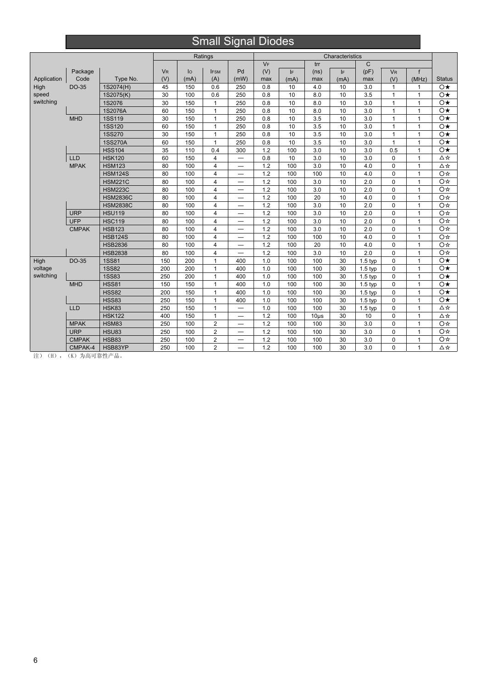# Small Signal Diodes

|             |              |                 | Ratings<br>Characteristics |      |                |                          |       |      |           |      |              |                      |              |                         |
|-------------|--------------|-----------------|----------------------------|------|----------------|--------------------------|-------|------|-----------|------|--------------|----------------------|--------------|-------------------------|
|             |              |                 |                            |      |                |                          | $V_F$ |      | trr       |      | $\mathsf{C}$ |                      |              |                         |
|             | Package      |                 | <b>V<sub>R</sub></b>       | lo   | <b>IFSM</b>    | Pd                       | (V)   | IF   | (ns)      | IF   | (pF)         | <b>V<sub>R</sub></b> | f            |                         |
| Application | Code         | Type No.        | (V)                        | (mA) | (A)            | (mW)                     | max   | (mA) | max       | (mA) | max          | (V)                  | (MHz)        | <b>Status</b>           |
| High        | <b>DO-35</b> | 1S2074(H)       | 45                         | 150  | 0.6            | 250                      | 0.8   | 10   | 4.0       | 10   | 3.0          | $\mathbf{1}$         | 1            | $\circ\star$            |
| speed       |              | 1S2075(K)       | 30                         | 100  | 0.6            | 250                      | 0.8   | 10   | 8.0       | 10   | 3.5          | $\mathbf{1}$         | $\mathbf{1}$ | $\circ\star$            |
| switching   |              | 1S2076          | 30                         | 150  | $\mathbf{1}$   | 250                      | 0.8   | 10   | 8.0       | 10   | 3.0          | 1                    | 1            | $\circ\star$            |
|             |              | 1S2076A         | 60                         | 150  | $\mathbf{1}$   | 250                      | 0.8   | 10   | 8.0       | 10   | 3.0          | $\mathbf{1}$         | $\mathbf{1}$ | $\circ\star$            |
|             | <b>MHD</b>   | <b>1SS119</b>   | 30                         | 150  | $\mathbf{1}$   | 250                      | 0.8   | 10   | 3.5       | 10   | 3.0          | 1                    | 1            | $\circ\star$            |
|             |              | <b>1SS120</b>   | 60                         | 150  | $\mathbf{1}$   | 250                      | 0.8   | 10   | 3.5       | 10   | 3.0          | $\mathbf{1}$         | $\mathbf{1}$ | $\circ\star$            |
|             |              | <b>1SS270</b>   | 30                         | 150  | $\mathbf{1}$   | 250                      | 0.8   | 10   | 3.5       | 10   | 3.0          | 1                    | 1            | $\circ\star$            |
|             |              | <b>1SS270A</b>  | 60                         | 150  | $\mathbf{1}$   | 250                      | 0.8   | 10   | 3.5       | 10   | 3.0          | $\mathbf{1}$         | 1            | $\circ\star$            |
|             |              | <b>HSS104</b>   | 35                         | 110  | 0.4            | 300                      | 1.2   | 100  | 3.0       | 10   | 3.0          | 0.5                  | 1            | $\circ\star$            |
|             | LLD          | <b>HSK120</b>   | 60                         | 150  | $\overline{4}$ | —                        | 0.8   | 10   | 3.0       | 10   | 3.0          | $\mathbf 0$          | $\mathbf{1}$ | Δ☆                      |
|             | <b>MPAK</b>  | <b>HSM123</b>   | 80                         | 100  | 4              | $\overline{\phantom{0}}$ | 1.2   | 100  | 3.0       | 10   | 4.0          | $\mathbf 0$          | $\mathbf{1}$ | Δ☆                      |
|             |              | <b>HSM124S</b>  | 80                         | 100  | $\overline{4}$ | $\qquad \qquad$          | 1.2   | 100  | 100       | 10   | 4.0          | 0                    | $\mathbf{1}$ | O☆                      |
|             |              | <b>HSM221C</b>  | 80                         | 100  | 4              | —                        | 1.2   | 100  | 3.0       | 10   | 2.0          | $\mathbf 0$          | $\mathbf{1}$ | O☆                      |
|             |              | <b>HSM223C</b>  | 80                         | 100  | 4              | —                        | 1.2   | 100  | 3.0       | 10   | 2.0          | $\mathbf 0$          | 1            | O☆                      |
|             |              | <b>HSM2836C</b> | 80                         | 100  | $\overline{4}$ | $\qquad \qquad$          | 1.2   | 100  | 20        | 10   | 4.0          | $\Omega$             | $\mathbf{1}$ | O☆                      |
|             |              | <b>HSM2838C</b> | 80                         | 100  | 4              | $\overline{\phantom{0}}$ | 1.2   | 100  | 3.0       | 10   | 2.0          | $\mathbf 0$          | $\mathbf{1}$ | O☆                      |
|             | <b>URP</b>   | <b>HSU119</b>   | 80                         | 100  | $\overline{4}$ | $\overline{\phantom{0}}$ | 1.2   | 100  | 3.0       | 10   | 2.0          | $\Omega$             | 1            | O☆                      |
|             | <b>UFP</b>   | <b>HSC119</b>   | 80                         | 100  | $\overline{4}$ |                          | 1.2   | 100  | 3.0       | 10   | 2.0          | $\Omega$             | 1            | O☆                      |
|             | <b>CMPAK</b> | <b>HSB123</b>   | 80                         | 100  | $\overline{4}$ |                          | 1.2   | 100  | 3.0       | 10   | 2.0          | $\mathbf 0$          | $\mathbf{1}$ | O☆                      |
|             |              | <b>HSB124S</b>  | 80                         | 100  | $\overline{4}$ |                          | 1.2   | 100  | 100       | 10   | 4.0          | $\Omega$             | $\mathbf{1}$ | O☆                      |
|             |              | <b>HSB2836</b>  | 80                         | 100  | $\overline{4}$ |                          | 1.2   | 100  | 20        | 10   | 4.0          | $\mathbf 0$          | $\mathbf{1}$ | O☆                      |
|             |              | <b>HSB2838</b>  | 80                         | 100  | $\overline{4}$ |                          | 1.2   | 100  | 3.0       | 10   | 2.0          | $\Omega$             | 1            | O☆                      |
| High        | <b>DO-35</b> | <b>1SS81</b>    | 150                        | 200  | $\mathbf{1}$   | 400                      | 1.0   | 100  | 100       | 30   | $1.5$ typ    | $\mathbf 0$          | 1            | O★                      |
| voltage     |              | <b>1SS82</b>    | 200                        | 200  | $\mathbf{1}$   | 400                      | 1.0   | 100  | 100       | 30   | $1.5$ typ    | $\mathbf 0$          | 1            | $\overline{\Omega}$     |
| switching   |              | <b>1SS83</b>    | 250                        | 200  | $\mathbf{1}$   | 400                      | 1.0   | 100  | 100       | 30   | $1.5$ typ    | $\mathbf 0$          | $\mathbf{1}$ | $\circ\star$            |
|             | <b>MHD</b>   | <b>HSS81</b>    | 150                        | 150  | $\mathbf{1}$   | 400                      | 1.0   | 100  | 100       | 30   | $1.5$ typ    | $\Omega$             | $\mathbf{1}$ | $\circ\star$            |
|             |              | <b>HSS82</b>    | 200                        | 150  | $\mathbf{1}$   | 400                      | 1.0   | 100  | 100       | 30   | 1.5 typ      | $\Omega$             | $\mathbf{1}$ | $\circ\star$            |
|             |              | <b>HSS83</b>    | 250                        | 150  | $\mathbf{1}$   | 400                      | 1.0   | 100  | 100       | 30   | $1.5$ typ    | $\mathbf 0$          | 1            | $\overline{\mathsf{O}}$ |
|             | LLD          | <b>HSK83</b>    | 250                        | 150  | $\mathbf{1}$   | $\overline{\phantom{0}}$ | 1.0   | 100  | 100       | 30   | $1.5$ typ    | $\mathbf 0$          | 1            | Δ☆                      |
|             |              | <b>HSK122</b>   | 400                        | 150  | $\mathbf{1}$   | —                        | 1.2   | 100  | $10\mu$ s | 30   | 10           | 0                    | $\mathbf{1}$ | Δ☆                      |
|             | <b>MPAK</b>  | <b>HSM83</b>    | 250                        | 100  | $\overline{2}$ | $\overline{\phantom{0}}$ | 1.2   | 100  | 100       | 30   | 3.0          | $\mathbf 0$          | $\mathbf{1}$ | O☆                      |
|             | <b>URP</b>   | <b>HSU83</b>    | 250                        | 100  | $\overline{2}$ | $\overline{\phantom{0}}$ | 1.2   | 100  | 100       | 30   | 3.0          | $\mathbf 0$          | $\mathbf{1}$ | O☆                      |
|             | <b>CMPAK</b> | <b>HSB83</b>    | 250                        | 100  | $\overline{2}$ | —                        | 1.2   | 100  | 100       | 30   | 3.0          | 0                    | 1            | O☆                      |
|             | CMPAK-4      | HSB83YP         | 250                        | 100  | $\overline{2}$ | $\overline{\phantom{0}}$ | 1.2   | 100  | 100       | 30   | 3.0          | $\mathbf 0$          | $\mathbf{1}$ | Δ☆                      |

注) (H), (K) 为高可靠性产品。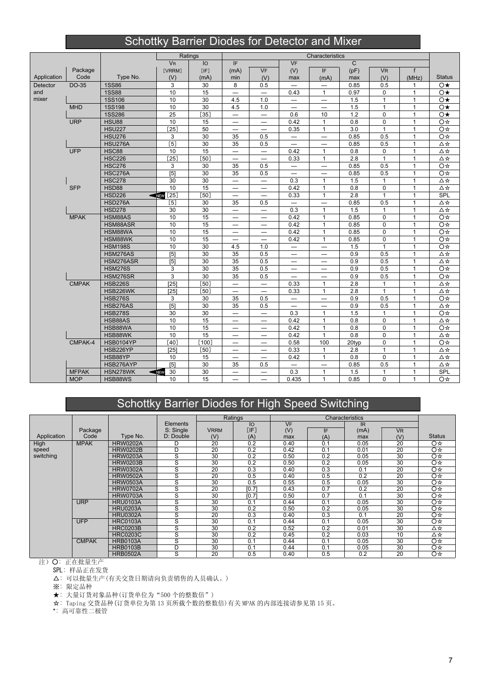# Schottky Barrier Diodes for Detector and Mixer

|             |              |                  |                      | Ratings      |                                |                                 |                          | Characteristics          |              |              |              |               |
|-------------|--------------|------------------|----------------------|--------------|--------------------------------|---------------------------------|--------------------------|--------------------------|--------------|--------------|--------------|---------------|
|             |              |                  | <b>V<sub>R</sub></b> | IO           | IF                             |                                 | <b>VF</b>                |                          | $\mathsf{C}$ |              |              |               |
|             | Package      |                  | [VRRM]               | [IF]         | (mA)                           | <b>VF</b>                       | (V)                      | IF.                      | (pF)         | <b>VR</b>    | $\mathsf{f}$ |               |
| Application | Code         | Type No.         | (V)                  | (mA)         | min                            | (V)                             | max                      | (mA)                     | max          | (V)          | (MHz)        | <b>Status</b> |
| Detector    | DO-35        | <b>1SS86</b>     | 3                    | 30           | 8                              | 0.5                             |                          |                          | 0.85         | 0.5          | 1            | $\circ\star$  |
| and         |              | <b>1SS88</b>     | 10                   | 15           |                                |                                 | 0.43                     | $\mathbf{1}$             | 0.97         | $\mathbf 0$  | $\mathbf{1}$ | $\circ\star$  |
| mixer       |              | <b>1SS106</b>    | 10                   | 30           | 4.5                            | 1.0                             | $\overline{\phantom{0}}$ | $\qquad \qquad -$        | 1.5          | $\mathbf{1}$ | $\mathbf{1}$ | $\circ\star$  |
|             | <b>MHD</b>   | <b>1SS198</b>    | 10                   | 30           | 4.5                            | 1.0                             | $\overline{\phantom{0}}$ | $\overline{\phantom{0}}$ | 1.5          | $\mathbf{1}$ | $\mathbf{1}$ | $\circ\star$  |
|             |              | <b>1SS286</b>    | 25                   | $[35]$       | $\overline{\phantom{0}}$       | -                               | 0.6                      | 10                       | 1.2          | $\Omega$     | $\mathbf{1}$ | $\circ\star$  |
|             | <b>URP</b>   | <b>HSU88</b>     | 10                   | 15           | $\qquad \qquad -$              | $\overline{\phantom{0}}$        | 0.42                     | $\mathbf{1}$             | 0.8          | $\mathbf 0$  | $\mathbf{1}$ | O☆            |
|             |              | <b>HSU227</b>    | $\overline{[25]}$    | 50           |                                |                                 | 0.35                     | $\mathbf{1}$             | 3.0          | $\mathbf{1}$ | $\mathbf{1}$ | O☆            |
|             |              | <b>HSU276</b>    | 3                    | 30           | 35                             | 0.5                             |                          | $\overline{\phantom{0}}$ | 0.85         | 0.5          | $\mathbf{1}$ | O☆            |
|             |              | <b>HSU276A</b>   | $[5]$                | 30           | 35                             | 0.5                             | $\qquad \qquad$          | $\qquad \qquad$          | 0.85         | 0.5          | $\mathbf{1}$ | Δ☆            |
|             | <b>UFP</b>   | <b>HSC88</b>     | 10                   | 15           | $\overline{\phantom{0}}$       | $\overline{\phantom{0}}$        | 0.42                     | $\mathbf{1}$             | 0.8          | $\mathbf 0$  | $\mathbf{1}$ | Δ☆            |
|             |              | <b>HSC226</b>    | $[25]$               | $[50]$       |                                |                                 | 0.33                     | $\mathbf{1}$             | 2.8          | $\mathbf{1}$ | $\mathbf{1}$ | Δ☆            |
|             |              | <b>HSC276</b>    | 3                    | 30           | 35                             | 0.5                             | $\qquad \qquad -$        |                          | 0.85         | 0.5          | $\mathbf{1}$ | O☆            |
|             |              | <b>HSC276A</b>   | [5]                  | 30           | 35                             | 0.5                             | $\overline{\phantom{0}}$ | —                        | 0.85         | 0.5          | $\mathbf{1}$ | O☆            |
|             |              | <b>HSC278</b>    | 30                   | 30           | $\equiv$                       | —                               | 0.3                      | $\mathbf{1}$             | 1.5          | $\mathbf{1}$ | $\mathbf{1}$ | Δ☆            |
|             | <b>SFP</b>   | <b>HSD88</b>     | 10                   | 15           | $\qquad \qquad \longleftarrow$ |                                 | 0.42                     | $\mathbf{1}$             | 0.8          | $\mathbf 0$  | $\mathbf{1}$ | Δ☆            |
|             |              | <b>HSD226</b>    | $\boxed{25}$<br>NEW  | [50]         | $\overline{\phantom{0}}$       | $\overline{\phantom{0}}$        | 0.33                     | $\mathbf{1}$             | 2.8          | $\mathbf{1}$ | $\mathbf{1}$ | <b>SPL</b>    |
|             |              | <b>HSD276A</b>   | $[5]$                | 30           | 35                             | 0.5                             |                          | $\overline{\phantom{0}}$ | 0.85         | 0.5          | $\mathbf{1}$ | △☆            |
|             |              | <b>HSD278</b>    | 30                   | 30           | $\overline{\phantom{0}}$       | $\qquad \qquad$                 | 0.3                      | $\mathbf{1}$             | 1.5          | $\mathbf{1}$ | $\mathbf{1}$ | Δ☆            |
|             | <b>MPAK</b>  | HSM88AS          | 10                   | 15           | -                              | -                               | 0.42                     | $\mathbf{1}$             | 0.85         | $\mathbf 0$  | $\mathbf{1}$ | O☆            |
|             |              | HSM88ASR         | 10                   | 15           | $\overline{\phantom{0}}$       | $\overline{\phantom{0}}$        | 0.42                     | $\mathbf{1}$             | 0.85         | $\Omega$     | $\mathbf{1}$ | O☆            |
|             |              | HSM88WA          | 10                   | 15           |                                |                                 | 0.42                     | $\mathbf{1}$             | 0.85         | $\mathbf 0$  | $\mathbf{1}$ | O☆            |
|             |              | HSM88WK          | 10                   | 15           | $\overline{\phantom{0}}$       | $\overline{\phantom{0}}$        | 0.42                     | $\mathbf{1}$             | 0.85         | $\Omega$     | $\mathbf{1}$ | O☆            |
|             |              | <b>HSM198S</b>   | 10                   | 30           | 4.5                            | 1.0                             | $\equiv$                 | $\overline{\phantom{0}}$ | 1.5          | $\mathbf{1}$ | $\mathbf{1}$ | O☆            |
|             |              | HSM276AS         | $\overline{[5]}$     | 30           | 35                             | 0.5                             | —                        |                          | 0.9          | 0.5          | $\mathbf{1}$ | Δ☆            |
|             |              | HSM276ASR        | [5]                  | 30           | 35                             | 0.5                             | —                        | —                        | 0.9          | 0.5          | $\mathbf{1}$ | Δ☆            |
|             |              | <b>HSM276S</b>   | 3                    | 30           | 35                             | 0.5                             | $-$                      | $\overline{\phantom{0}}$ | 0.9          | 0.5          | $\mathbf{1}$ | O☆            |
|             |              | <b>HSM276SR</b>  | 3                    | 30           | 35                             | 0.5                             |                          |                          | 0.9          | 0.5          | $\mathbf{1}$ | O☆            |
|             | <b>CMPAK</b> | <b>HSB226S</b>   | $\overline{[25]}$    | $\boxed{50}$ | $\overline{\phantom{0}}$       | -                               | 0.33                     | $\mathbf{1}$             | 2.8          | $\mathbf{1}$ | $\mathbf{1}$ | Δ☆            |
|             |              | HSB226WK         | $[25]$               | [50]         | $\equiv$                       | $\overline{\phantom{0}}$        | 0.33                     | $\mathbf{1}$             | 2.8          | $\mathbf{1}$ | $\mathbf{1}$ | △☆            |
|             |              | <b>HSB276S</b>   | 3                    | 30           | 35                             | 0.5                             | $\qquad \qquad$          | $\overline{\phantom{0}}$ | 0.9          | 0.5          | $\mathbf{1}$ | O☆            |
|             |              | HSB276AS         | [5]                  | 30           | 35                             | 0.5                             |                          |                          | 0.9          | 0.5          | $\mathbf{1}$ | Δ☆            |
|             |              | <b>HSB278S</b>   | 30                   | 30           | $\overline{\phantom{0}}$       | $\overline{\phantom{0}}$        | 0.3                      | $\mathbf{1}$             | 1.5          | $\mathbf{1}$ | $\mathbf{1}$ | O☆            |
|             |              | HSB88AS          | 10                   | 15           | -                              |                                 | 0.42                     | $\mathbf{1}$             | 0.8          | $\mathbf 0$  | $\mathbf{1}$ | Δ☆            |
|             |              | HSB88WA          | 10                   | 15           |                                | —                               | 0.42                     | $\mathbf{1}$             | 0.8          | $\Omega$     | $\mathbf{1}$ | O☆            |
|             |              | HSB88WK          | 10                   | 15           |                                | $\hspace{0.05cm}$               | 0.42                     | $\mathbf{1}$             | 0.8          | $\mathbf 0$  | $\mathbf{1}$ | Δ☆            |
|             | CMPAK-4      | <b>HSB0104YP</b> | $\overline{[40]}$    | $[100]$      |                                | $\overline{\phantom{0}}$        | 0.58                     | 100                      | 20typ        | $\mathbf 0$  | $\mathbf{1}$ | O☆            |
|             |              | HSB226YP         | [25]                 | [50]         |                                |                                 | 0.33                     | $\mathbf{1}$             | 2.8          | $\mathbf{1}$ | $\mathbf{1}$ | Δ☆            |
|             |              | HSB88YP          | 10                   | 15           |                                | $\overbrace{\phantom{1232211}}$ | 0.42                     | $\mathbf{1}$             | 0.8          | 0            | $\mathbf{1}$ | Δ☆            |
|             |              | HSB276AYP        | [5]                  | 30           | 35                             | 0.5                             | $\overline{\phantom{0}}$ |                          | 0.85         | 0.5          | $\mathbf{1}$ | Δ☆            |
|             | <b>MFPAK</b> | HSN278WK         | 30<br>NEW            | 30           |                                |                                 | 0.3                      | $\mathbf{1}$             | 1.5          | $\mathbf{1}$ | $\mathbf{1}$ | SPL           |
|             | <b>MOP</b>   | HSB88WS          | 10                   | 15           | $\qquad \qquad -$              | $\overbrace{\phantom{1232211}}$ | 0.435                    | $\mathbf{1}$             | 0.85         | 0            | $\mathbf{1}$ | O☆            |

# Schottky Barrier Diodes for High Speed Switching

|             |              |                 |           |             | Ratings |           |     | Characteristics |           |               |
|-------------|--------------|-----------------|-----------|-------------|---------|-----------|-----|-----------------|-----------|---------------|
|             |              |                 | Elements  |             | lО      | <b>VF</b> |     | <b>IR</b>       |           |               |
|             | Package      |                 | S: Single | <b>VRRM</b> | [IF]    | (V)       | IF  | (mA)            | <b>VR</b> |               |
| Application | Code         | Type No.        | D: Double | (V)         | (A)     | max       | (A) | max             | (V)       | <b>Status</b> |
| High        | <b>MPAK</b>  | <b>HRW0202A</b> | D         | 20          | 0.2     | 0.40      | 0.1 | 0.05            | 20        | O☆            |
| speed       |              | <b>HRW0202B</b> | D         | 20          | 0.2     | 0.42      | 0.1 | 0.01            | 20        | O *           |
| switching   |              | <b>HRW0203A</b> | S         | 30          | 0.2     | 0.50      | 0.2 | 0.05            | 30        | O☆            |
|             |              | <b>HRW0203B</b> | S         | 30          | 0.2     | 0.50      | 0.2 | 0.05            | 30        | O *           |
|             |              | <b>HRW0302A</b> | S         | 20          | 0.3     | 0.40      | 0.3 | 0.1             | 20        | O≉            |
|             |              | <b>HRW0502A</b> | S         | 20          | 0.5     | 0.40      | 0.5 | 0.2             | 20        | O☆            |
|             |              | <b>HRW0503A</b> | S         | 30          | 0.5     | 0.55      | 0.5 | 0.05            | 30        | O☆            |
|             |              | <b>HRW0702A</b> | S         | 20          | [0.7]   | 0.43      | 0.7 | 0.2             | 20        | O☆            |
|             |              | <b>HRW0703A</b> | S         | 30          | [0.7]   | 0.50      | 0.7 | 0.1             | 30        | O☆            |
|             | <b>URP</b>   | <b>HRU0103A</b> | S         | 30          | 0.1     | 0.44      | 0.1 | 0.05            | 30        | O☆            |
|             |              | <b>HRU0203A</b> | S         | 30          | 0.2     | 0.50      | 0.2 | 0.05            | 30        | O☆            |
|             |              | <b>HRU0302A</b> | S         | 20          | 0.3     | 0.40      | 0.3 | 0.1             | 20        | O☆            |
|             | <b>UFP</b>   | <b>HRC0103A</b> | S         | 30          | 0.1     | 0.44      | 0.1 | 0.05            | 30        | O☆            |
|             |              | <b>HRC0203B</b> | S         | 30          | 0.2     | 0.52      | 0.2 | 0.01            | 30        | ∆☆            |
|             |              | <b>HRC0203C</b> | S         | 30          | 0.2     | 0.45      | 0.2 | 0.03            | 10        | ∆☆            |
|             | <b>CMPAK</b> | <b>HRB0103A</b> | S         | 30          | 0.1     | 0.44      | 0.1 | 0.05            | 30        | O☆            |
|             |              | <b>HRB0103B</b> | D         | 30          | 0.1     | 0.44      | 0.1 | 0.05            | 30        | O☆            |
|             |              | <b>HRB0502A</b> | S         | 20          | 0.5     | 0.40      | 0.5 | 0.2             | 20        | O ¤           |

注) 〇: 正在批量生产

SPL: 样品正在发货

△: 可以批量生产(有关交货日期请向负责销售的人员确认。)

※: 限定品种

★: 大量订货对象品种(订货单位为"500 个的整数倍")

☆: Taping 交货品种(订货单位为第 13 页所载个数的整数倍)有关 MPAK 的内部连接请参见第 15 页。

\*: 高可靠性二极管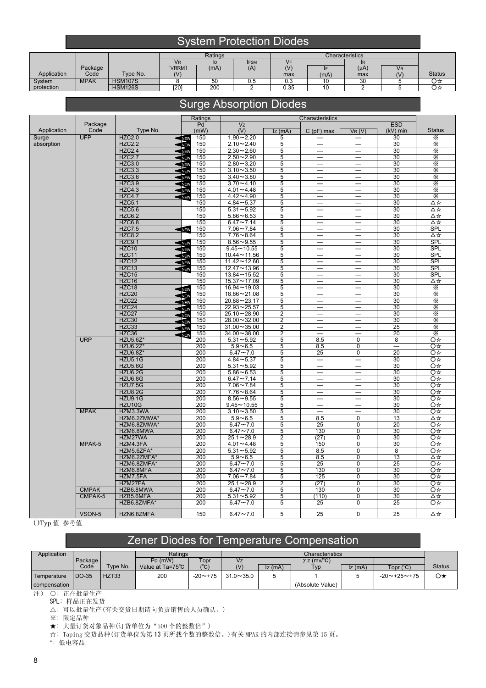### **System Protection Diodes**

|             |             |                |        | Ratings |             |      |      | Characteristics |           |               |
|-------------|-------------|----------------|--------|---------|-------------|------|------|-----------------|-----------|---------------|
|             |             |                | VR.    | IО      | <b>IFSM</b> | Vf   |      | IR.             |           |               |
|             | Package     |                | [VRRM] | (mA)    | (A)         | (V)  |      | $(\mu A)$       | <b>VR</b> |               |
| Application | Code        | Type No.       | (V)    |         |             | max  | (mA) | max             | $\alpha$  | <b>Status</b> |
| System      | <b>MPAK</b> | <b>HSM107S</b> |        | 50      | U.O         | 0.3  | u    | 30              |           | Ο☆            |
| protection  |             | <b>HSM126S</b> | [20]   | 200     |             | 0.35 | . U  |                 |           | Ο☆            |

### Surge Absorption Diodes

|             |              |                                  | Ratings                   |                                |                | Characteristics                               |                          |                          |               |
|-------------|--------------|----------------------------------|---------------------------|--------------------------------|----------------|-----------------------------------------------|--------------------------|--------------------------|---------------|
|             | Package      |                                  | Pd                        | Vz                             |                |                                               |                          | <b>ESD</b>               |               |
| Application | Code         | Type No.                         | (mW)                      | (V)                            | $Iz$ (mA)      | $C(pF)$ max                                   | V(R(V))                  | $(kV)$ min               | <b>Status</b> |
| Surge       | <b>UFP</b>   | <b>HZC2.0</b>                    | 150<br>$\blacksquare$ NEV | $1.90 - 2.20$                  | 5              |                                               |                          | 30                       | X             |
| absorption  |              | <b>HZC2.2</b>                    | 150<br>NEV                | $2.10 - 2.40$                  | 5              |                                               | $\overline{\phantom{0}}$ | 30                       | X             |
|             |              | <b>HZC2.4</b>                    | 150<br>NEV                | $2.30 - 2.60$                  | 5              | $\overline{\phantom{0}}$                      | $\equiv$                 | 30                       | Χ             |
|             |              | <b>HZC2.7</b>                    | 150<br>NEW                | $2.50 - 2.90$                  | 5              | $\overline{\phantom{0}}$                      |                          | 30                       | $\frac{1}{3}$ |
|             |              | <b>HZC3.0</b>                    | 150<br>$\blacksquare$ NEV | $2.80 - 3.20$                  | 5              |                                               | $\equiv$                 | 30                       |               |
|             |              | <b>HZC3.3</b>                    | 150<br>NEV                | $3.10 - 3.50$                  | 5              | $\overline{\phantom{0}}$                      |                          | 30                       | X             |
|             |              | <b>HZC3.6</b>                    | 150<br><b>SNEW</b>        | $3.40 - 3.80$                  | $\overline{5}$ | $\equiv$                                      | —                        | 30                       | X             |
|             |              | <b>HZC3.9</b>                    | 150<br>NEV                | $3.70 - 4.10$                  | 5              | $\qquad \qquad$                               | $=$                      | 30                       | Х             |
|             |              | <b>HZC4.3</b>                    | 150<br>NEV                | $4.01 - 4.48$                  | 5              | $\overline{\phantom{0}}$                      | $\overline{\phantom{0}}$ | 30                       | $\times$      |
|             |              | <b>HZC4.7</b>                    | 150<br>NEV                | $4.42 - 4.90$                  | $\overline{5}$ |                                               | —                        | $\overline{30}$          |               |
|             |              | <b>HZC5.1</b>                    | 150                       | $4.84 - 5.37$                  | 5              | —                                             | $\overline{\phantom{0}}$ | 30                       | ∆☆            |
|             |              | <b>HZC5.6</b>                    | 150                       | $5.31 - 5.92$                  | 5              | $\equiv$                                      | $\overline{\phantom{0}}$ | 30                       | ∆☆            |
|             |              | <b>HZC6.2</b>                    | 150                       | $5.86 - 6.53$                  | 5              | $\qquad \qquad$                               | $\qquad \qquad$          | 30                       | ∆☆            |
|             |              | <b>HZC6.8</b>                    | 150                       | $6.47 - 7.14$                  | 5              |                                               |                          | 30                       | Δ☆            |
|             |              | <b>HZC7.5</b>                    | 150<br>$\leq$ NEW         | $7.06 - 7.84$                  | 5              |                                               |                          | 30                       | <b>SPL</b>    |
|             |              | <b>HZC8.2</b>                    | 150                       | $7.76 - 8.64$                  | $\overline{5}$ |                                               |                          | 30                       | Δ☆            |
|             |              | <b>HZC9.1</b>                    | 150<br>$\blacksquare$     | $8.56 - 9.55$                  | 5              |                                               |                          | 30                       | <b>SPL</b>    |
|             |              | HZC <sub>10</sub>                | 150<br><b>NEV</b>         | $9.45 - 10.55$                 | 5              |                                               | $\qquad \qquad$          | 30                       | SPL           |
|             |              | HZC11                            | 150<br><b>NEV</b>         | $10.44 - 11.56$                | 5              | $\overline{\phantom{0}}$                      | $\overline{\phantom{0}}$ | 30                       | <b>SPL</b>    |
|             |              | HZC12                            | 150<br>NEV                | $11.42 - 12.60$                | $\overline{5}$ |                                               | —                        | 30                       | <b>SPL</b>    |
|             |              | HZC13                            | 150<br>NEV                | 12.47~13.96                    | 5              |                                               |                          | 30                       | <b>SPL</b>    |
|             |              | HZC15                            | 150                       | $13.84 - 15.52$                | 5              | $\overline{\phantom{0}}$                      | $\overline{\phantom{0}}$ | 30                       | <b>SPL</b>    |
|             |              | HZC16                            | 150                       | $15.37 - 17.09$                | 5              | $\qquad \qquad$                               |                          | 30                       | Δ☆            |
|             |              | HZC18                            | 150<br><b>NEV</b>         | $16.94 - 19.03$                | 5              | $\overline{\phantom{0}}$                      | $\overline{\phantom{0}}$ | 30                       | $\times$      |
|             |              | HZC <sub>20</sub>                | 150<br><b>NEV</b>         | 18.86~21.08                    | 5              |                                               | $\qquad \qquad -$        | 30                       |               |
|             |              | HZC22                            | 150<br><b>NEV</b>         | 20.88~23.17                    | 5              | —                                             | $\overline{\phantom{0}}$ | 30                       | Х             |
|             |              | HZC24                            | 150<br><b>NEV</b>         | $22.93 - 25.57$                | 5              | $\overline{\phantom{0}}$                      | $\overline{\phantom{0}}$ | 30                       | X             |
|             |              | HZC27                            | 150<br><b>NEV</b>         | 25.10~28.90                    | 2              | $\equiv$                                      | $\overline{\phantom{0}}$ | 30                       | Х             |
|             |              | HZC30                            | 150<br><b>NEV</b>         | $28.00 - 32.00$                | $\overline{2}$ | $\overline{\phantom{0}}$                      | $\overline{\phantom{0}}$ | 30                       | Х             |
|             |              | HZC33                            | 150<br><b>NEV</b>         | $31.00 - 35.00$                | $\overline{2}$ | $\qquad \qquad -$                             |                          | 25                       | $\times$      |
|             |              | HZC36                            | 150<br>NEW                | $\frac{34.00}{38.00}$          | $\overline{2}$ |                                               |                          | 20                       | $\times$      |
|             | <b>URP</b>   | HZU5.6Z*                         | 200                       | $5.31 - 5.92$                  | $\overline{5}$ | 8.5                                           | $\overline{0}$           | $\overline{\mathbf{8}}$  | O☆            |
|             |              | HZU6.2Z*                         | 200                       | $5.9 - 6.5$                    | 5              | 8.5                                           | 0                        | $\overline{\phantom{0}}$ | Q<br>≫        |
|             |              | HZU6.8Z*                         | 200                       | $6.47 - 7.0$                   | 5              | 25                                            | $\overline{0}$           | 20                       | O☆            |
|             |              | <b>HZU5.1G</b>                   | 200                       | $4.84 - 5.37$                  | 5              | $\qquad \qquad -$<br>$\overline{\phantom{0}}$ | —                        | 30                       | O☆            |
|             |              | HZU5.6G                          | 200                       | $5.31 - 5.92$                  | $\overline{5}$ |                                               |                          | 30                       | O ‡           |
|             |              | <b>HZU6.2G</b>                   | 200                       | $5.86 - 6.53$                  | $\overline{5}$ | $\overline{\phantom{0}}$                      |                          | 30                       | O ‡           |
|             |              | <b>HZU6.8G</b><br><b>HZU7.5G</b> | 200<br>200                | $6.47 - 7.14$<br>$7.06 - 7.84$ | 5              | $\equiv$                                      | $\overline{\phantom{0}}$ | 30<br>30                 | O ‡<br>O☆     |
|             |              | <b>HZU8.2G</b>                   | 200                       | $7.76 - 8.64$                  | 5<br>5         |                                               |                          | 30                       | Q<br>≫        |
|             |              | <b>HZU9.1G</b>                   | 200                       | $8.56 - 9.55$                  | $\overline{5}$ |                                               | $\qquad \qquad -$        | 30                       | O ‡           |
|             |              | HZU10G                           | 200                       | $9.45 - 10.55$                 | 5              |                                               |                          | 30                       | O☆            |
|             | <b>MPAK</b>  | HZM3.3WA                         | 200                       | $3.10 - 3.50$                  | 5              | $\overline{\phantom{0}}$                      | $\equiv$                 | 30                       | O☆            |
|             |              | HZM6.2ZMWA*                      | 200                       | $5.9 - 6.5$                    | 5              | 8.5                                           | 0                        | 13                       | Δ☆            |
|             |              | HZM6.8ZMWA*                      | 200                       | $6.47 - 7.0$                   | 5              | 25                                            | 0                        | 20                       | O☆            |
|             |              | HZM6.8MWA                        | 200                       | $6.47 - 7.0$                   | 5              | 130                                           | 0                        | 30                       | O☆            |
|             |              | HZM27WA                          | 200                       | $25.1 - 28.9$                  | $\overline{2}$ | (27)                                          | 0                        | 30                       | O☆            |
|             | MPAK-5       | HZM4.3FA                         | 200                       | $4.01 - 4.48$                  | $\overline{5}$ | 150                                           | $\overline{0}$           | 30                       | O☆            |
|             |              | HZM5.6ZFA*                       | 200                       | $5.31 - 5.92$                  | 5              | 8.5                                           | $\overline{0}$           | 8                        | O☆            |
|             |              | HZM6.2ZMFA*                      | 200                       | $5.9 - 6.5$                    | $\overline{5}$ | 8.5                                           | $\overline{0}$           | 13                       | Δ☆            |
|             |              | HZM6.8ZMFA*                      | 200                       | $6.47 - 7.0$                   | 5              | 25                                            | 0                        | 25                       | O<br>☆        |
|             |              | HZM6.8MFA                        | 200                       | $6.47 \sim 7.0$                | $\overline{5}$ | 130                                           | 0                        | 30                       |               |
|             |              | HZM7.5FA                         | 200                       | $7.06 - 7.84$                  | $\overline{5}$ | 125                                           | $\overline{0}$           | 30                       | O☆            |
|             |              | HZM27FA                          | 200                       | $25.1 - 28.9$                  | $\overline{2}$ | (27)                                          | $\overline{0}$           | 30                       | Q<br>≫        |
|             | <b>CMPAK</b> | HZB6.8MWA                        | 200                       | $6.47 - 7.0$                   | $\overline{5}$ | 130                                           | $\overline{0}$           | $\overline{30}$          | O ‡           |
|             | CMPAK-5      | HZB5.6MFA                        | 200                       | $5.31 - 5.92$                  | 5              | (110)                                         | 0                        | 30                       | ∆☆            |
|             |              | HZB6.8ZMFA*                      | 200                       | $6.47 - 7.0$                   | 5              | 25                                            | $\overline{0}$           | 25                       | O☆            |
|             | VSON-5       | HZN6.8ZMFA                       | 150                       | $6.47 - 7.0$                   | 5              | 25                                            | $\mathbf 0$              | 25                       | Δ☆            |
|             |              |                                  |                           |                                |                |                                               |                          |                          |               |

( )Typ 值 参考值

# Zener Diodes for Temperature Compensation

| Application   |         |          | Ratings                                                  |                |               |        | <b>Characteristics</b> |        |                         |        |
|---------------|---------|----------|----------------------------------------------------------|----------------|---------------|--------|------------------------|--------|-------------------------|--------|
|               | Package |          | Topr<br>$\gamma$ z (mv/ $\mathrm{°C}$ )<br>Pd (mW)<br>Vz |                |               |        |                        |        |                         |        |
|               | Code    | Type No. | Value at Ta=75°C                                         | (°C)           | (V)           | Iz(mA) | Tvp                    | Iz(mA) | (C°) Topr               | Status |
| Temperature   | DO-35   | HZT33    | 200                                                      | $-20 \sim +75$ | $31.0 - 35.0$ |        |                        |        | $-20 \sim +25 \sim +75$ | Ο★     |
| compensation. |         |          |                                                          |                |               |        | (Absolute Value)       |        |                         |        |

注) O: 正在批量生产

SPL: 样品正在发货

△: 可以批量生产(有关交货日期请向负责销售的人员确认。)

※: 限定品种

★: 大量订货对象品种(订货单位为"500 个的整数倍")

☆: Taping 交货品种(订货单位为第 13 页所载个数的整数倍。)有关 MPAK 的内部连接请参见第 15 页。

\*: 低电容品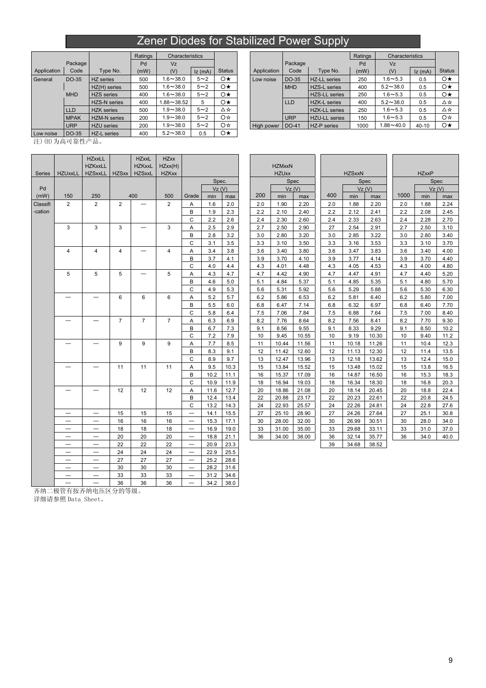### Zener Diodes for Stabilized Power Supply

|             |             |                     | Ratings | Characteristics |            |               |             |            |  |
|-------------|-------------|---------------------|---------|-----------------|------------|---------------|-------------|------------|--|
|             | Package     |                     | Pd      | Vz.             |            |               |             | Package    |  |
| Application | Code        | Type No.            | (mW)    | (V)             | $Iz$ (mA)  | <b>Status</b> | Application | Code       |  |
| General     | DO-35       | HZ series           | 500     | $1.6 - 38.0$    | $5 - 2$    | $\circ\star$  | Low noise   | DO-35      |  |
|             |             | HZ(H) series        | 500     | $1.6 - 38.0$    | $5 \sim 2$ | $\circ\star$  |             | <b>MHD</b> |  |
|             | <b>MHD</b>  | <b>HZS</b> series   | 400     | $1.6 - 38.0$    | $5 - 2$    | $\circ\star$  |             |            |  |
|             |             | <b>HZS-N</b> series | 400     | $1.88 - 38.52$  | 5          | $\circ\star$  |             | <b>LLD</b> |  |
|             | <b>LLD</b>  | <b>HZK</b> series   | 500     | $1.9 - 38.0$    | $5 - 2$    | Δ☆            |             |            |  |
|             | <b>MPAK</b> | <b>HZM-N</b> series | 200     | $1.9 - 38.0$    | $5 - 2$    | O☆            |             | <b>URP</b> |  |
|             | <b>URP</b>  | <b>HZU</b> series   | 200     | $1.9 - 38.0$    | $5 \sim 2$ | O☆            | High power  | DO-41      |  |
| Low noise   | DO-35       | HZ-L series         | 400     | $5.2 - 38.0$    | 0.5        | O★            |             |            |  |

|             |                     | Ratings | Characteristics |            |               |             |            |                      | Ratings | Characteristics |        |               |
|-------------|---------------------|---------|-----------------|------------|---------------|-------------|------------|----------------------|---------|-----------------|--------|---------------|
| Package     |                     | Pd      | Vz              |            |               |             | Package    |                      | Pd      | Vz              |        |               |
| Code        | Type No.            | (mW)    | (V)             | Iz(mA)     | <b>Status</b> | Application | Code       | Type No.             | (mW)    | (V)             | Iz(mA) | <b>Status</b> |
| DO-35       | HZ series           | 500     | $1.6 - 38.0$    | $5 - 2$    | $\circ\star$  | Low noise   | DO-35      | <b>HZ-LL series</b>  | 250     | $1.6 - 5.3$     | 0.5    | $\circ\star$  |
|             | HZ(H) series        | 500     | $.6 - 38.0$     | $5 \sim 2$ | $\circ\star$  |             | <b>MHD</b> | <b>HZS-L</b> series  | 400     | $5.2 - 38.0$    | 0.5    | $\circ\star$  |
| <b>MHD</b>  | <b>HZS</b> series   | 400     | $.6 - 38.0$     | $5 - 2$    | $\circ\star$  |             |            | <b>HZS-LL series</b> | 250     | $1.6 - 5.3$     | 0.5    | $\circ\star$  |
|             | <b>HZS-N series</b> | 400     | $1.88 - 38.52$  | 5          | $\circ\star$  |             | <b>LLD</b> | <b>HZK-L</b> series  | 400     | $5.2 - 38.0$    | 0.5    | △☆            |
| LLD         | <b>HZK</b> series   | 500     | $.9 - 38.0$     | $5 - 2$    | ∆☆            |             |            | <b>HZK-LL</b> series | 250     | $1.6 - 5.3$     | 0.5    | △☆            |
| <b>MPAK</b> | <b>HZM-N</b> series | 200     | $.9 - 38.0$     | $5 - 2$    | O☆            |             | URP        | <b>HZU-LL</b> series | 150     | $1.6 - 5.3$     | 0.5    | O☆            |
| <b>URP</b>  | <b>HZU</b> series   | 200     | $.9 - 38.0$     | $5 - 2$    | O☆            | High power  | $1$ DO-41  | HZ-P series          | 1000    | $1.88 - 40.0$   | 40-10  | O★            |
|             |                     |         | -- ---          |            | $\sim$ $\sim$ |             |            |                      |         |                 |        |               |

注)(H)为高可靠性产品。

Series | HZUxxLL | HZSxxLL | HZSxx **HZxxLL** HZKxxLL **HZxxL** HZKxxL HZSxxL **HZxx** HZxx(H) **HZKxx** Pd Vz (V) Vz (V) Vz (V) Vz (V) (mW) | 150 | 250 | 400 | 500 |Grade | min | max | 200 | min | max | 100 | min | max | 1000 | min | max  $2 \mid 2 \mid 2 \mid - \mid 2$  $3 \mid 3 \mid 3 \mid - \mid 3$ 4 4 4 4 4  $5 \t 5 \t 5 \t - \t 5$  $6$  6 6 6 ― ― 7 7 7 ― ― 9 9 9 ─ │ ─ │ 11 │ 11 │ 11 ― ― 12 12 12 ― │ ― │ 15 │ 15 │ 15 │ ― │14.1 │15.5 │ │ 27 │25.10 │28.90 │ │ 27 │24.26 │27.64 │ │ 27 │ 25.1 │ 30.8 ― │ ― │ 16 │ 16 │ 16 │ ― │15.3 │17.1│ │ 30 │28.00 │ 32.00 │ 30 │ 26.99 │ 30.51 │ │ 30 │ 28.0 │ 34.0 ― │ ― │ 18 │ 18 │ 18 │ ― │16.9 │19.0│ │ 33 │31.00 │35.00 │ 33 │29.68 │33.11 │ 33 │ 31.0 │ 37.0 ― │ ― │ 20 │ 20 │ 20 │ ― │18.8 │21.1│ │ 36 │34.00 │38.00 │ 36 │32.14 │35.77 │ 36 │ 34.0 │ 40.0  $22$  22 22  $-$  20.9 23.3 ― ― 24 24 24 ― 22.9 25.5 — | — | 27 | 27 | 27 | — | 25.2 | 28.6 — | — | 30 | 30 | 30 | — | 28.2 | 31.6 — | — | 33 | 33 | 33 | — | 31.2 | 34.6 Classifi -cation  $36$   $36$   $36$   $34.2$   $38.0$ 

|                  |       |      |     | <b>HZMxxN</b> |       |     |               |             |      |              |      |
|------------------|-------|------|-----|---------------|-------|-----|---------------|-------------|------|--------------|------|
|                  |       |      |     | <b>HZUxx</b>  |       |     | <b>HZSxxN</b> |             |      | <b>HZxxP</b> |      |
|                  | Spec. |      |     |               | Spec  |     |               | <b>Spec</b> |      | Spec         |      |
|                  | VZ(V) |      |     |               | VZ(V) |     |               | VZ(V)       |      | VZ(V)        |      |
| ade <sup>.</sup> | min   | max  | 200 | min           | max   | 400 | min           | max         | 1000 | min          | max  |
| Α                | 1.6   | 2.0  | 2.0 | 1.90          | 2.20  | 2.0 | 1.88          | 2.20        | 2.0  | 1.88         | 2.24 |
| B                | 1.9   | 2.3  | 2.2 | 2.10          | 2.40  | 2.2 | 2.12          | 2.41        | 2.2  | 2.08         | 2.45 |
| Ċ                | 2.2   | 2.6  | 2.4 | 2.30          | 2.60  | 2.4 | 2.33          | 2.63        | 2.4  | 2.28         | 2.70 |
| A                | 2.5   | 2.9  | 2.7 | 2.50          | 2.90  | 27  | 2.54          | 2.91        | 2.7  | 2.50         | 3.10 |
| B                | 2.8   | 3.2  | 3.0 | 2.80          | 3.20  | 3.0 | 2.85          | 3.22        | 3.0  | 2.80         | 3.40 |
| Ć                | 3.1   | 3.5  | 3.3 | 3.10          | 3.50  | 3.3 | 3.16          | 3.53        | 3.3  | 3.10         | 3.70 |
| Α                | 3.4   | 3.8  | 3.6 | 3.40          | 3.80  | 3.6 | 3.47          | 3.83        | 3.6  | 3.40         | 4.00 |
| B                | 3.7   | 4.1  | 3.9 | 3.70          | 4.10  | 3.9 | 3.77          | 4.14        | 3.9  | 3.70         | 4.40 |
| $\overline{c}$   | 4.0   | 4.4  | 4.3 | 4.01          | 4.48  | 4.3 | 4.05          | 4.53        | 4.3  | 4.00         | 4.80 |
| Α                | 4.3   | 4.7  | 4.7 | 4.42          | 4.90  | 4.7 | 4.47          | 4.91        | 4.7  | 4.40         | 5.20 |
| B                | 4.6   | 5.0  | 5.1 | 4.84          | 5.37  | 5.1 | 4.85          | 5.35        | 5.1  | 4.80         | 5.70 |
| C                | 4.9   | 5.3  | 5.6 | 5.31          | 5.92  | 5.6 | 5.29          | 5.88        | 5.6  | 5.30         | 6.30 |
| Α                | 5.2   | 5.7  | 6.2 | 5.86          | 6.53  | 6.2 | 5.81          | 6.40        | 6.2  | 5.80         | 7.00 |
| B                | 5.5   | 6.0  | 6.8 | 6.47          | 7.14  | 6.8 | 6.32          | 6.97        | 6.8  | 6.40         | 7.70 |
| С                | 5.8   | 6.4  | 7.5 | 7.06          | 7.84  | 7.5 | 6.88          | 7.64        | 7.5  | 7.00         | 8.40 |
| Α                | 6.3   | 6.9  | 8.2 | 7.76          | 8.64  | 8.2 | 7.56          | 8.41        | 8.2  | 7.70         | 9.30 |
| B                | 6.7   | 7.3  | 9.1 | 8.56          | 9.55  | 9.1 | 8.33          | 9.29        | 9.1  | 8.50         | 10.2 |
| Ċ                | 7.2   | 7.9  | 10  | 9.45          | 10.55 | 10  | 9.19          | 10.30       | 10   | 9.40         | 11.2 |
| Α                | 7.7   | 8.5  | 11  | 10.44         | 11.56 | 11  | 10.18         | 11.26       | 11   | 10.4         | 12.3 |
| B                | 8.3   | 9.1  | 12  | 11.42         | 12.60 | 12  | 11.13         | 12.30       | 12   | 11.4         | 13.5 |
| Ċ                | 8.9   | 9.7  | 13  | 12.47         | 13.96 | 13  | 12.18         | 13.62       | 13   | 12.4         | 15.0 |
| Α                | 9.5   | 10.3 | 15  | 13.84         | 15.52 | 15  | 13.48         | 15.02       | 15   | 13.8         | 16.5 |
| B                | 10.2  | 11.1 | 16  | 15.37         | 17.09 | 16  | 14.87         | 16.50       | 16   | 15.3         | 18.3 |
| Ć                | 10.9  | 11.9 | 18  | 16.94         | 19.03 | 18  | 16.34         | 18.30       | 18   | 16.8         | 20.3 |
| Α                | 11.6  | 12.7 | 20  | 18.86         | 21.08 | 20  | 18.14         | 20.45       | 20   | 18.8         | 22.4 |
| B                | 12.4  | 13.4 | 22  | 20.88         | 23.17 | 22  | 20.23         | 22.61       | 22   | 20.8         | 24.5 |
| Ċ                | 13.2  | 14.3 | 24  | 22.93         | 25.57 | 24  | 22.26         | 24.81       | 24   | 22.8         | 27.6 |
|                  | 14.1  | 15.5 | 27  | 25.10         | 28.90 | 27  | 24.26         | 27.64       | 27   | 25.1         | 30.8 |
|                  | 15.3  | 17.1 | 30  | 28.00         | 32.00 | 30  | 26.99         | 30.51       | 30   | 28.0         | 34.0 |
|                  | 16.9  | 19.0 | 33  | 31.00         | 35.00 | 33  | 29.68         | 33.11       | 33   | 31.0         | 37.0 |
|                  | 18.8  | 21.1 | 36  | 34.00         | 38.00 | 36  | 32.14         | 35.77       | 36   | 34.0         | 40.0 |

|     |      | <b>HZxxP</b> |       |
|-----|------|--------------|-------|
|     |      | Spec         |       |
|     |      |              | Vz(V) |
| ax  | 1000 | min          | max   |
| 20  | 2.0  | 1.88         | 2.24  |
| 41  | 2.2  | 2.08         | 2.45  |
| 63  | 2.4  | 2.28         | 2.70  |
| 91  | 2.7  | 2.50         | 3.10  |
| 22  | 3.0  | 2.80         | 3.40  |
| 53  | 3.3  | 3.10         | 3.70  |
| 83  | 3.6  | 3.40         | 4.00  |
| 14  | 3.9  | 3.70         | 4.40  |
| 53  | 4.3  | 4.00         | 4.80  |
| 91  | 4.7  | 4.40         | 5.20  |
| 35  | 5.1  | 4.80         | 5.70  |
| 88  | 5.6  | 5.30         | 6.30  |
| 40  | 6.2  | 5.80         | 7.00  |
| 97  | 6.8  | 6.40         | 7.70  |
| 64  | 7.5  | 7.00         | 8.40  |
| 41  | 8.2  | 7.70         | 9.30  |
| 29  | 9.1  | 8.50         | 10.2  |
| 30  | 10   | 9.40         | 11.2  |
| 26  | 11   | 10.4         | 12.3  |
| 30  | 12   | 11.4         | 13.5  |
| .62 | 13   | 12.4         | 15.0  |
| 02  | 15   | 13.8         | 16.5  |
| 50  | 16   | 15.3         | 18.3  |
| 30  | 18   | 16.8         | 20.3  |
| 45  | 20   | 18.8         | 22.4  |
| 61  | 22   | 20.8         | 24.5  |
| 81  | 24   | 22.8         | 27.6  |
| 64  | 27   | 25.1         | 30.8  |
| 51  | 30   | 28.0         | 34.0  |
| .11 | 33   | 31.0         | 37.0  |
| .77 | 36   | 34.0         | 40.0  |
| 52  |      |              |       |

齐纳二极管有按齐纳电压区分的等级。

详细请参照 Data Sheet。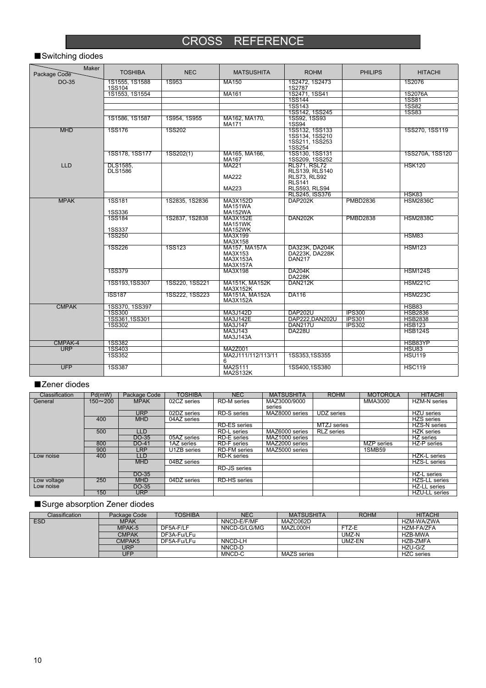# CROSS REFERENCE

### ■Switching diodes

| Maker<br>Package Code | <b>TOSHIBA</b>           | <b>NEC</b>     | <b>MATSUSHITA</b>                                | <b>ROHM</b>                                                  | <b>PHILIPS</b>  | <b>HITACHI</b>  |
|-----------------------|--------------------------|----------------|--------------------------------------------------|--------------------------------------------------------------|-----------------|-----------------|
| DO-35                 | 1S1555, 1S1588<br>1SS104 | 1S953          | MA150                                            | 1S2472, 1S2473<br>1S2787                                     |                 | 1S2076          |
|                       | 1S1553, 1S1554           |                | MA161                                            | 1S2471, 1SS41                                                |                 | 1S2076A         |
|                       |                          |                |                                                  | 1SS144                                                       |                 | <b>1SS81</b>    |
|                       |                          |                |                                                  | <b>1SS143</b>                                                |                 | <b>1SS82</b>    |
|                       |                          |                |                                                  | 1SS142, 1SS245                                               |                 | <b>1SS83</b>    |
|                       | 1S1586, 1S1587           | 1S954, 1S955   | MA162, MA170,<br><b>MA171</b>                    | 1SS92, 1SS93<br>1SS94                                        |                 |                 |
| <b>MHD</b>            | 1SS176                   | 1SS202         |                                                  | 1SS132, 1SS133<br>1SS134, 1SS210<br>1SS211, 1SS253<br>1SS254 |                 | 1SS270, 1SS119  |
|                       | 1SS178, 1SS177           | 1SS202(1)      | MA165, MA166.<br>MA167                           | 1SS130, 1SS131<br>1SS209, 1SS252                             |                 | 1SS270A. 1SS120 |
| <b>LLD</b>            | <b>DLS1585.</b>          |                | MA221                                            | <b>RLS71, RSL72</b>                                          |                 | <b>HSK120</b>   |
|                       | <b>DLS1586</b>           |                |                                                  | RLS139, RLS140                                               |                 |                 |
|                       |                          |                | MA222                                            | RLS73, RLS92<br>RLS <sub>141</sub>                           |                 |                 |
|                       |                          |                | MA223                                            | <b>RLS593, RLS94</b>                                         |                 |                 |
|                       |                          |                |                                                  | RLS245, ISS376                                               |                 | HSK83           |
| <b>MPAK</b>           | <b>1SS181</b>            | 1S2835, 1S2836 | MA3X152D                                         | DAP202K                                                      | <b>PMBD2836</b> | <b>HSM2836C</b> |
|                       |                          |                | <b>MA151WA</b>                                   |                                                              |                 |                 |
|                       | <b>1SS336</b>            |                | <b>MA152WA</b>                                   |                                                              |                 |                 |
|                       | 1SS184<br><b>1SS337</b>  | 1S2837, 1S2838 | MA3X152E<br>MA151WK<br><b>MA152WK</b>            | DAN202K                                                      | <b>PMBD2838</b> | <b>HSM2838C</b> |
|                       | <b>1SS250</b>            |                | MA3X199                                          |                                                              |                 | HSM83           |
|                       |                          |                | MA3X158                                          |                                                              |                 |                 |
|                       | 1SS226                   | <b>1SS123</b>  | MA157, MA157A<br>MA3X153<br>MA3X153A<br>MA3X157A | DA323K, DA204K<br>DA223K, DA228K<br><b>DAN217</b>            |                 | <b>HSM123</b>   |
|                       | <b>1SS379</b>            |                | MA3X198                                          | <b>DA204K</b><br><b>DA228K</b>                               |                 | <b>HSM124S</b>  |
|                       | 1SS193,1SS307            | 1SS220, 1SS221 | MA151K, MA152K<br>MA3X152K                       | DAN212K                                                      |                 | <b>HSM221C</b>  |
|                       | <b>ISS187</b>            | 1SS222, 1SS223 | MA151A, MA152A<br>MA3X152A                       | DA116                                                        |                 | <b>HSM223C</b>  |
| <b>CMPAK</b>          | 1SS370, 1SS397           |                |                                                  |                                                              |                 | HSB83           |
|                       | <b>1SS300</b>            |                | MA3J142D                                         | <b>DAP202U</b>                                               | <b>IPS300</b>   | <b>HSB2836</b>  |
|                       | 1SS361,1SS301            |                | <b>MA3J142E</b>                                  | DAP222.DAN202U                                               | <b>IPS301</b>   | <b>HSB2838</b>  |
|                       | <b>1SS302</b>            |                | MA3J147                                          | <b>DAN217U</b>                                               | <b>IPS302</b>   | <b>HSB123</b>   |
|                       |                          |                | MA3J143<br>MA3J143A                              | <b>DA228U</b>                                                |                 | <b>HSB124S</b>  |
| CMPAK-4               | <b>1SS382</b>            |                |                                                  |                                                              |                 | HSB83YP         |
| <b>URP</b>            | 1SS403                   |                | MA2Z001                                          |                                                              |                 | HSU83           |
|                       | <b>1SS352</b>            |                | MA2J111/112/113/11<br>6                          | 1SS353.1SS355                                                |                 | <b>HSU119</b>   |
| <b>UFP</b>            | <b>1SS387</b>            |                | MA2S111<br><b>MA2S132K</b>                       | 1SS400.1SS380                                                |                 | <b>HSC119</b>   |

#### ■Zener diodes

| <b>Classification</b> | Pd(mW)      | Package Code | TOSHIBA     | <b>NEC</b>          | <b>MATSUSHITA</b>          | <b>ROHM</b>       | <b>MOTOROLA</b> | <b>HITACHI</b>       |
|-----------------------|-------------|--------------|-------------|---------------------|----------------------------|-------------------|-----------------|----------------------|
| General               | $150 - 200$ | <b>MPAK</b>  | 02CZ series | <b>RD-M</b> series  | MAZ3000/9000               |                   | MMA3000         | HZM-N series         |
|                       |             |              |             |                     | series                     |                   |                 |                      |
|                       |             | <b>URP</b>   | 02DZ series | RD-S series         | MAZ8000 series             | UDZ series        |                 | <b>HZU</b> series    |
|                       | 400         | <b>MHD</b>   | 04AZ series |                     |                            |                   |                 | <b>HZS</b> series    |
|                       |             |              |             | <b>RD-ES</b> series |                            | MTZJ series       |                 | <b>HZS-N</b> series  |
|                       | 500         | LLD.         |             | <b>RD-L</b> series  | MAZ6000 series             | <b>RLZ</b> series |                 | <b>HZK</b> series    |
|                       |             | DO-35        | 05AZ series | <b>RD-E</b> series  | MAZ <sub>1000</sub> series |                   |                 | HZ series            |
|                       | 800         | DO-41        | 1AZ series  | RD-F series         | MAZ2000 series             |                   | MZP series      | HZ-P series          |
|                       | 900         | LRP          | U1ZB series | <b>RD-FM</b> series | MAZ5000 series             |                   | <b>1SMB59</b>   |                      |
| Low noise             | 400         | LLD          |             | <b>RD-K</b> series  |                            |                   |                 | <b>HZK-L</b> series  |
|                       |             | <b>MHD</b>   | 04BZ series |                     |                            |                   |                 | <b>HZS-L</b> series  |
|                       |             |              |             | RD-JS series        |                            |                   |                 |                      |
|                       |             | DO-35        |             |                     |                            |                   |                 | HZ-L series          |
| Low voltage           | 250         | <b>MHD</b>   | 04DZ series | RD-HS series        |                            |                   |                 | <b>HZS-LL series</b> |
| Low noise             |             | DO-35        |             |                     |                            |                   |                 | <b>HZ-LL</b> series  |
|                       | 150         | URP          |             |                     |                            |                   |                 | <b>HZU-LL</b> series |

### ■Surge absorption Zener diodes

| Classification | Package Code | <b>TOSHIBA</b> | <b>NEC</b>   | <b>MATSUSHITA</b> | <b>ROHM</b>   | <b>HITACHI</b>    |
|----------------|--------------|----------------|--------------|-------------------|---------------|-------------------|
| <b>ESD</b>     | <b>MPAK</b>  |                | NNCD-E/F/MF  | MAZC062D          |               | HZM-WA/ZWA        |
|                | MPAK-5       | DF5A-F/LF      | NNCD-G/LG/MG | MAZL000H          | FTZ-E         | HZM-FA/ZFA        |
|                | <b>CMPAK</b> | DF3A-Fu/LFu    |              |                   | umz-n         | HZB-MWA           |
|                | CMPAK5       | DF5A-Fu/LFu    | NNCD-LH      |                   | <b>JMZ-EN</b> | <b>HZB-ZMFA</b>   |
|                | URP          |                | NNCD-D       |                   |               | HZU-G/Z           |
|                | UFP          |                | MNCD-C       | MAZS series       |               | <b>HZC</b> series |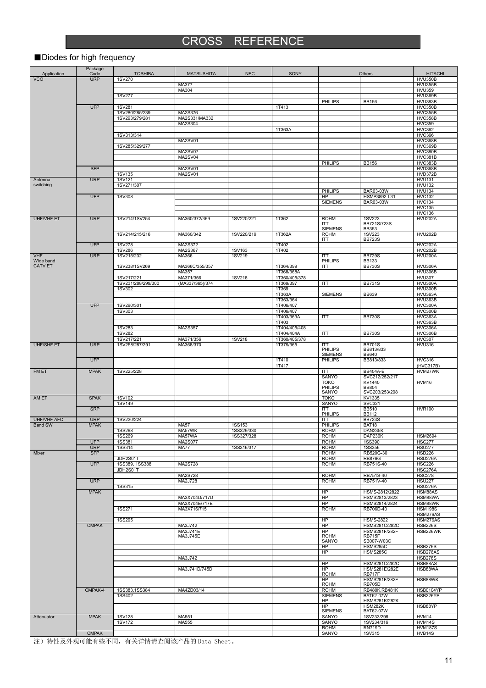# CROSS REFERENCE

### ■Diodes for high frequency

| Application                          | Package<br>Code           | <b>TOSHIBA</b>                                                                                                                                                                                                                                                                    | <b>MATSUSHITA</b>            | <b>NEC</b>    | SONY                        |                                  | Others                                   | <b>HITACHI</b>                   |
|--------------------------------------|---------------------------|-----------------------------------------------------------------------------------------------------------------------------------------------------------------------------------------------------------------------------------------------------------------------------------|------------------------------|---------------|-----------------------------|----------------------------------|------------------------------------------|----------------------------------|
| <b>VCO</b>                           | <b>URP</b>                | <b>1SV270</b>                                                                                                                                                                                                                                                                     |                              |               |                             |                                  |                                          | <b>HVU350B</b>                   |
|                                      |                           |                                                                                                                                                                                                                                                                                   | <b>MA377</b>                 |               |                             |                                  |                                          | <b>HVU355B</b>                   |
|                                      |                           | <b>1SV277</b>                                                                                                                                                                                                                                                                     | MA304                        |               |                             |                                  |                                          | <b>HVU359</b><br><b>HVU369B</b>  |
|                                      |                           |                                                                                                                                                                                                                                                                                   |                              |               |                             | PHILIPS                          | <b>BB156</b>                             | <b>HVU383B</b>                   |
|                                      | <b>UFP</b>                | <b>1SV281</b>                                                                                                                                                                                                                                                                     | MA2S376                      |               | 1T413                       |                                  |                                          | HVC350B                          |
|                                      |                           | 1SV280/285/239<br>1SV293/279/281                                                                                                                                                                                                                                                  | MA2S331/MA332                |               |                             |                                  |                                          | <b>HVC355B</b><br><b>HVC358B</b> |
|                                      |                           |                                                                                                                                                                                                                                                                                   | MA2S304                      |               |                             |                                  |                                          | <b>HVC359</b>                    |
|                                      |                           | 1SV313/314                                                                                                                                                                                                                                                                        |                              |               | 1T363A                      |                                  |                                          | <b>HVC362</b><br><b>HVC366</b>   |
|                                      |                           |                                                                                                                                                                                                                                                                                   | MA2SV01                      |               |                             |                                  |                                          | <b>HVC368B</b>                   |
|                                      |                           | 1SV285/329/277                                                                                                                                                                                                                                                                    |                              |               |                             |                                  |                                          | HVC369B                          |
|                                      |                           |                                                                                                                                                                                                                                                                                   | MA2SV07<br>MA2SV04           |               |                             |                                  |                                          | HVC380B<br><b>HVC381B</b>        |
|                                      |                           |                                                                                                                                                                                                                                                                                   |                              |               |                             | <b>PHILIPS</b>                   | <b>BB156</b>                             | <b>HVC383B</b>                   |
|                                      | <b>SFP</b>                | 1SV135                                                                                                                                                                                                                                                                            | MA2SV01<br>MA2SV01           |               |                             |                                  |                                          | HVD368B<br><b>HVD372B</b>        |
| Antenna                              | <b>URP</b>                | <b>1SV121</b>                                                                                                                                                                                                                                                                     |                              |               |                             |                                  |                                          | <b>HVU131</b>                    |
| switching                            |                           | 1SV271/307                                                                                                                                                                                                                                                                        |                              |               |                             |                                  |                                          | <b>HVU132</b>                    |
|                                      | <b>UFP</b>                | <b>1SV308</b>                                                                                                                                                                                                                                                                     |                              |               |                             | <b>PHILIPS</b><br>HP             | BAR63-03W<br>HSMP3892-L31                | <b>HVU134</b><br><b>HVC132</b>   |
|                                      |                           |                                                                                                                                                                                                                                                                                   |                              |               |                             | <b>SIEMENS</b>                   | BAR63-03W                                | <b>HVC134</b>                    |
|                                      |                           |                                                                                                                                                                                                                                                                                   |                              |               |                             |                                  |                                          | <b>HVC135</b>                    |
| <b>UHF/VHF ET</b>                    | <b>URP</b>                | 1SV214/1SV254                                                                                                                                                                                                                                                                     | MA360/372/369                | 1SV220/221    | 1T362                       | <b>ROHM</b>                      | <b>1SV223</b>                            | <b>HVC136</b><br><b>HVU202A</b>  |
|                                      |                           |                                                                                                                                                                                                                                                                                   |                              |               |                             | <b>ITT</b>                       | BB721S/723S                              |                                  |
|                                      |                           | 1SV214/215/216                                                                                                                                                                                                                                                                    | MA360/342                    | 1SV220/219    | 1T362A                      | <b>SIEMENS</b><br><b>ROHM</b>    | <b>BB353</b><br><b>1SV223</b>            | <b>HVU202B</b>                   |
|                                      |                           |                                                                                                                                                                                                                                                                                   |                              |               |                             | <b>ITT</b>                       | <b>BB723S</b>                            |                                  |
|                                      | <b>UFP</b>                | <b>1SV278</b>                                                                                                                                                                                                                                                                     | MA2S372<br>MA2S367           | 1SV163        | 1T402<br>1T402              |                                  |                                          | <b>HVC202A</b>                   |
| <b>VHF</b>                           | <b>URP</b>                | <b>1SV286</b><br>1SV215/232                                                                                                                                                                                                                                                       | MA366                        | 1SV219        |                             | <b>ITT</b>                       | <b>BB729S</b>                            | <b>HVC202B</b><br><b>HVU200A</b> |
| Wide band                            |                           |                                                                                                                                                                                                                                                                                   |                              |               |                             | PHILIPS                          | <b>BB133</b>                             |                                  |
| <b>CATV ET</b>                       |                           | 1SV238/1SV269                                                                                                                                                                                                                                                                     | MA366C/355/357<br>MA357      |               | 1T364/399<br>1T368/368A     | ITT                              | <b>BB730S</b>                            | HVU306A<br><b>HVU306B</b>        |
|                                      |                           | 1SV217/221                                                                                                                                                                                                                                                                        | MA371/356                    | 1SV218        | 1T360/405/378               |                                  |                                          | <b>HVU307</b>                    |
|                                      |                           | 1SV231/288/299/300                                                                                                                                                                                                                                                                | (MA337/365)/374              |               | 1T369/397                   | ITT                              | <b>BB731S</b>                            | HVU300A                          |
|                                      |                           | 1SV302                                                                                                                                                                                                                                                                            |                              |               | 1T369<br>1T363A             | <b>SIEMENS</b>                   | <b>BB639</b>                             | HVU300B<br>HVU363A               |
|                                      |                           |                                                                                                                                                                                                                                                                                   |                              |               | 1T363/364                   |                                  |                                          | <b>HVU363B</b>                   |
|                                      | <b>UFP</b>                | 1SV290/301                                                                                                                                                                                                                                                                        |                              |               | 1T406/407<br>1T406/407      |                                  |                                          | HVC300A<br><b>HVC300B</b>        |
|                                      |                           | 1SV303                                                                                                                                                                                                                                                                            |                              |               | 1T403/363A                  | ITT                              | <b>BB730S</b>                            | HVC363A                          |
|                                      |                           |                                                                                                                                                                                                                                                                                   |                              |               | 1T403                       |                                  |                                          | <b>HVC363B</b>                   |
|                                      |                           | <b>1SV283</b><br><b>1SV282</b>                                                                                                                                                                                                                                                    | MA2S357                      |               | 1T404/405/408<br>1T404/404A | ITT                              | <b>BB730S</b>                            | HVC306A<br><b>HVC306B</b>        |
|                                      |                           | 1SV217/221                                                                                                                                                                                                                                                                        | MA371/356                    | <b>1SV218</b> | 1T360/405/378               |                                  |                                          | <b>HVC307</b>                    |
| <b>UHF/SHF ET</b>                    | <b>URP</b>                | 1SV258/287/291                                                                                                                                                                                                                                                                    | MA368/370                    |               | 1T379/365                   | <b>ITT</b>                       | <b>BB701S</b>                            | <b>HVU316</b>                    |
|                                      |                           |                                                                                                                                                                                                                                                                                   |                              |               |                             | <b>PHILIPS</b><br><b>SIEMENS</b> | BB813/833<br><b>BB640</b>                |                                  |
|                                      | <b>UFP</b>                |                                                                                                                                                                                                                                                                                   |                              |               | 1T410                       | <b>PHILIPS</b>                   | BB813/833                                | <b>HVC316</b>                    |
| FM ET                                | <b>MPAK</b>               | 1SV225/228                                                                                                                                                                                                                                                                        |                              |               | 1T417                       | ITT                              | <b>BB404A-E</b>                          | (HVC317B)<br>HVM27WK             |
|                                      |                           |                                                                                                                                                                                                                                                                                   |                              |               |                             | SANYO                            | SVC212/252/217                           |                                  |
|                                      |                           |                                                                                                                                                                                                                                                                                   |                              |               |                             | <b>TOKO</b><br>PHILIPS           | KV1440                                   | HVM16                            |
|                                      |                           |                                                                                                                                                                                                                                                                                   |                              |               |                             | SANYO                            | <b>BB804</b><br>SVC203/253/208           |                                  |
| AM ET                                | <b>SPAK</b>               | 1SV102                                                                                                                                                                                                                                                                            |                              |               |                             | <b>TOKO</b>                      | KV1335                                   |                                  |
|                                      | <b>SRP</b>                | <b>1SV149</b>                                                                                                                                                                                                                                                                     |                              |               |                             | <b>SANYO</b><br><b>ITT</b>       | <b>SVC321</b><br><b>BB510</b>            | <b>HVR100</b>                    |
|                                      |                           |                                                                                                                                                                                                                                                                                   |                              |               |                             | PHILIPS                          | <b>BB112</b>                             |                                  |
| <b>UHF/VHF AFC</b><br><b>Band SW</b> | <b>URP</b><br><b>MPAK</b> | 1SV230/224                                                                                                                                                                                                                                                                        | <b>MA57</b>                  | <b>1SS153</b> |                             | ITT<br><b>PHILIPS</b>            | <b>BB723S</b><br>BAT18                   |                                  |
|                                      |                           | <b>1SS268</b>                                                                                                                                                                                                                                                                     | MA57WK                       | 1SS329/330    |                             | <b>ROHM</b>                      | DAN235K                                  |                                  |
|                                      |                           | <b>1SS269</b>                                                                                                                                                                                                                                                                     | MA57WA                       | 1SS327/328    |                             | <b>ROHM</b>                      | DAP236K                                  | <b>HSM2694</b>                   |
|                                      | <b>UFP</b><br><b>URP</b>  | <b>1SS381</b><br><b>1SS314</b>                                                                                                                                                                                                                                                    | MA2S077<br><b>MA77</b>       | 1SS316/317    |                             | <b>ROHM</b><br><b>ROHM</b>       | <b>1SS390</b><br><b>1SS356</b>           | <b>HSC277</b><br><b>HSU277</b>   |
| Mixer                                | <b>SFP</b>                |                                                                                                                                                                                                                                                                                   |                              |               |                             | <b>ROHM</b>                      | RB520G-30                                | <b>HSD226</b>                    |
|                                      | <b>UFP</b>                | JDH2S01T                                                                                                                                                                                                                                                                          | MA2S728                      |               |                             | <b>ROHM</b>                      | <b>RB876G</b><br>RB751S-40               | HSD276A                          |
|                                      |                           | 1SS389, 1SS388<br>JDH2S01T                                                                                                                                                                                                                                                        |                              |               |                             | <b>ROHM</b>                      |                                          | <b>HSC226</b><br><b>HSC276A</b>  |
|                                      |                           |                                                                                                                                                                                                                                                                                   | MA2S728                      |               |                             | <b>ROHM</b>                      | RB751S-40                                | <b>HSC278</b>                    |
|                                      | <b>URP</b>                | <b>1SS315</b>                                                                                                                                                                                                                                                                     | MA2J728                      |               |                             | <b>ROHM</b>                      | RB751V-40                                | <b>HSU227</b><br><b>HSU276A</b>  |
|                                      | <b>MPAK</b>               |                                                                                                                                                                                                                                                                                   |                              |               |                             | HP                               | HSMS-2812/2822                           | HSM88AS                          |
|                                      |                           |                                                                                                                                                                                                                                                                                   | MA3X704D/717D                |               |                             | H <sub>P</sub>                   | HSMS2813/2823                            | HSM88WA                          |
|                                      |                           | 1SS271                                                                                                                                                                                                                                                                            | MA3X704E/717E<br>MA3X716/715 |               |                             | HP<br><b>ROHM</b>                | HSMS2814/2824<br>RB706D-40               | HSM88WK<br><b>HSM198S</b>        |
|                                      |                           |                                                                                                                                                                                                                                                                                   |                              |               |                             |                                  |                                          | HSM276AS                         |
|                                      | <b>CMPAK</b>              | <b>1SS295</b>                                                                                                                                                                                                                                                                     | MA3J742                      |               |                             | HP<br>HP                         | <b>HSMS-2822</b><br><b>HSMS281C/282C</b> | HSM276AS<br><b>HSB226S</b>       |
|                                      |                           |                                                                                                                                                                                                                                                                                   | MA3J741E                     |               |                             | HP                               | <b>HSMS281F/282F</b>                     | HSB226WK                         |
|                                      |                           |                                                                                                                                                                                                                                                                                   | MA3J745E                     |               |                             | <b>ROHM</b><br>SANYO             | RB715F<br>SB007-W03C                     |                                  |
|                                      |                           |                                                                                                                                                                                                                                                                                   |                              |               |                             | HP                               | HSMS285C                                 | <b>HSB276S</b>                   |
|                                      |                           |                                                                                                                                                                                                                                                                                   |                              |               |                             | H <sub>P</sub>                   | <b>HSMS285C</b>                          | HSB276AS                         |
|                                      |                           |                                                                                                                                                                                                                                                                                   | MA3J742                      |               |                             | HP                               | <b>HSMS281C/282C</b>                     | <b>HSB278S</b><br>HSB88AS        |
|                                      |                           |                                                                                                                                                                                                                                                                                   | MA3J741D/745D                |               |                             | HP                               | HSMS281E/282E                            | HSB88WA                          |
|                                      |                           |                                                                                                                                                                                                                                                                                   |                              |               |                             | <b>ROHM</b><br>HP                | <b>RB717F</b><br><b>HSMS281F/282F</b>    | HSB88WK                          |
|                                      |                           |                                                                                                                                                                                                                                                                                   |                              |               |                             | <b>ROHM</b>                      | <b>RB705D</b>                            |                                  |
|                                      | CMPAK-4                   | 1SS383,1SS384                                                                                                                                                                                                                                                                     | MA4ZD03/14                   |               |                             | <b>ROHM</b>                      | <b>RB480K, RB481K</b>                    | <b>HSB0104YP</b>                 |
|                                      |                           | 1SS402                                                                                                                                                                                                                                                                            |                              |               |                             | <b>SIEMENS</b><br>HP             | BAT62-07W<br><b>HSMS281K/282K</b>        | HSB226YP                         |
|                                      |                           |                                                                                                                                                                                                                                                                                   |                              |               |                             | <b>HP</b>                        | <b>HSM282K</b>                           | HSB88YP                          |
| Attenuator                           | <b>MPAK</b>               | <b>1SV128</b>                                                                                                                                                                                                                                                                     | MA551                        |               |                             | <b>SIEMENS</b><br><b>SANYO</b>   | BAT62-07W<br>1SV233/298                  | HVM14                            |
|                                      |                           | <b>1SV172</b>                                                                                                                                                                                                                                                                     | MA555                        |               |                             | <b>SANYO</b>                     | 1SV234/316                               | HVM14S                           |
|                                      |                           |                                                                                                                                                                                                                                                                                   |                              |               |                             | <b>ROHM</b>                      | <b>RN719D</b>                            | <b>HVM187S</b>                   |
|                                      | <b>CMPAK</b>              | $\frac{1}{2}$ the fit and the contract of the contract of $\frac{1}{2}$ and $\frac{1}{2}$ and $\frac{1}{2}$ and $\frac{1}{2}$ and $\frac{1}{2}$ and $\frac{1}{2}$ and $\frac{1}{2}$ and $\frac{1}{2}$ and $\frac{1}{2}$ and $\frac{1}{2}$ and $\frac{1}{2}$ and $\frac{1}{2}$ and |                              |               |                             | <b>SANYO</b>                     | 1SV315                                   | HVB14S                           |

注)特性及外观可能有些不同,有关详情请查阅该产品的 Data Sheet。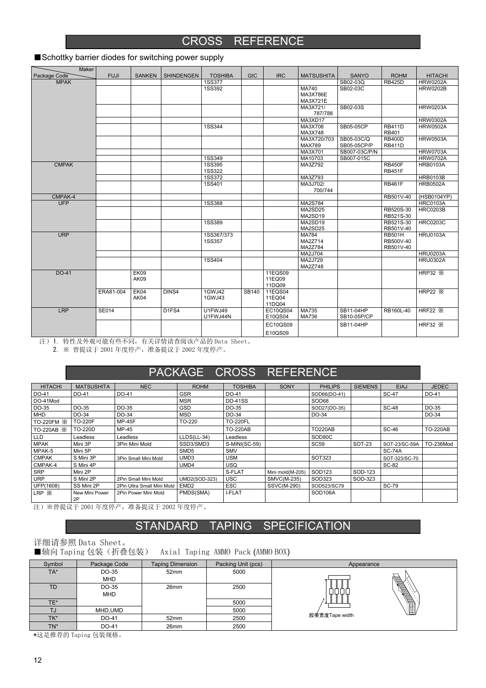### CROSS REFERENCE

| <b>Maker</b><br>Package Code | <b>FUJI</b>  | <b>SANKEN</b> | <b>SHINDENGEN</b>  | <b>TOSHIBA</b>          | <b>GIC</b> | <b>IRC</b>       | <b>MATSUSHITA</b>   | <b>SANYO</b>  | <b>ROHM</b>                    | <b>HITACHI</b>     |
|------------------------------|--------------|---------------|--------------------|-------------------------|------------|------------------|---------------------|---------------|--------------------------------|--------------------|
| <b>MPAK</b>                  |              |               |                    | <b>1SS377</b>           |            |                  |                     | SB02-03Q      | <b>RB425D</b>                  | <b>HRW0202A</b>    |
|                              |              |               |                    | <b>1SS392</b>           |            |                  | MA740               | SB02-03C      |                                | <b>HRW0202B</b>    |
|                              |              |               |                    |                         |            |                  | MA3X786E            |               |                                |                    |
|                              |              |               |                    |                         |            |                  | MA3X721E            |               |                                |                    |
|                              |              |               |                    |                         |            |                  | MA3X721/<br>787/788 | SB02-03S      |                                | <b>HRW0203A</b>    |
|                              |              |               |                    |                         |            |                  | MA3XD17             |               |                                | <b>HRW0302A</b>    |
|                              |              |               |                    | <b>1SS344</b>           |            |                  | MA3X708             | SB05-05CP     | <b>RB411D</b>                  | <b>HRW0502A</b>    |
|                              |              |               |                    |                         |            |                  | MA3X748             |               | RB401                          |                    |
|                              |              |               |                    |                         |            |                  | MA3X720/703         | SB05-03C/Q    | <b>RB400D</b>                  | <b>HRW0503A</b>    |
|                              |              |               |                    |                         |            |                  | <b>MAX789</b>       | SB05-05CP/P   | <b>RB411D</b>                  |                    |
|                              |              |               |                    |                         |            |                  | MA3X701             | SB007-03C/P/N |                                | <b>HRW0703A</b>    |
|                              |              |               |                    | <b>1SS349</b>           |            |                  | MA10703             | SB007-015C    |                                | <b>HRW0702A</b>    |
| <b>CMPAK</b>                 |              |               |                    | 1SS395<br><b>1SS322</b> |            |                  | MA3Z792             |               | <b>RB450F</b><br><b>RB451F</b> | <b>HRB0103A</b>    |
|                              |              |               |                    | 1SS372                  |            |                  | MA3Z793             |               |                                | <b>HRB0103B</b>    |
|                              |              |               |                    | 1SS401                  |            |                  | MA3J702/            |               | <b>RB461F</b>                  | <b>HRB0502A</b>    |
|                              |              |               |                    |                         |            |                  | 700/744             |               |                                |                    |
| CMPAK-4                      |              |               |                    |                         |            |                  |                     |               | RB501V-40                      | (HSB0104YP)        |
| <b>UFP</b>                   |              |               |                    | <b>1SS388</b>           |            |                  | MA2S784             |               |                                | <b>HRC0103A</b>    |
|                              |              |               |                    |                         |            |                  | MA2SD <sub>25</sub> |               | RB520S-30                      | <b>HRC0203B</b>    |
|                              |              |               |                    |                         |            |                  | MA2SD19             |               | RB521S-30                      |                    |
|                              |              |               |                    | <b>1SS389</b>           |            |                  | MA2SD19             |               | RB521S-30                      | <b>HRC0203C</b>    |
|                              |              |               |                    |                         |            |                  | MA2SD25             |               | RB501V-40                      |                    |
| <b>URP</b>                   |              |               |                    | 1SS367/373              |            |                  | <b>MA784</b>        |               | <b>RB501H</b>                  | <b>HRU0103A</b>    |
|                              |              |               |                    | <b>1SS357</b>           |            |                  | MA2Z714<br>MA2Z784  |               | RB500V-40<br>RB501V-40         |                    |
|                              |              |               |                    |                         |            |                  | MA2J704             |               |                                | <b>HRU0203A</b>    |
|                              |              |               |                    | 1SS404                  |            |                  | MA2J729             |               |                                | <b>HRU0302A</b>    |
|                              |              |               |                    |                         |            |                  | MA2Z748             |               |                                |                    |
| DO-41                        |              | EK09          |                    |                         |            | 11EQS09          |                     |               |                                | HRP32 $\mathbb{X}$ |
|                              |              | AK09          |                    |                         |            | 11EQ09           |                     |               |                                |                    |
|                              |              |               |                    |                         |            | 11DQ09           |                     |               |                                |                    |
|                              | ERA81-004    | EK04          | DINS4              | 1GWJ42                  | SB140      | 11EQS04          |                     |               |                                | <b>HRP22 X</b>     |
|                              |              | AK04          |                    | 1GWJ43                  |            | 11EQ04<br>11DQ04 |                     |               |                                |                    |
| <b>LRP</b>                   | <b>SE014</b> |               | D <sub>1</sub> FS4 | <b>U1FWJ49</b>          |            | <b>EC10QS04</b>  | MA735               | SB11-04HP     | RB160L-40                      | HRF22 $\times$     |
|                              |              |               |                    | U1FWJ44N                |            | E10QS04          | MA736               | SB10-05P/CP   |                                |                    |
|                              |              |               |                    |                         |            | EC10QS09         |                     | SB11-04HP     |                                | <b>HRF32 X</b>     |
|                              |              |               |                    |                         |            | E10QS09          |                     |               |                                |                    |
|                              |              |               |                    |                         |            |                  |                     |               |                                |                    |

#### ■Schottky barrier diodes for switching power supply

注)1. 特性及外观可能有些不同,有关详情请查阅该产品的 Data Sheet。

2. ※ 曾提议于 2001 年度停产,准备提议于 2002 年度停产。

### PACKAGE CROSS REFERENCE

| <b>HITACHI</b> | <b>MATSUSHITA</b>    | <b>NEC</b>                 | <b>ROHM</b>          | <b>TOSHIBA</b>  | <b>SONY</b>        | <b>PHILIPS</b> | <b>SIEMENS</b> | <b>EIAJ</b>   | <b>JEDEC</b>    |
|----------------|----------------------|----------------------------|----------------------|-----------------|--------------------|----------------|----------------|---------------|-----------------|
| DO-41          | DO-41                | DO-41                      | <b>GSR</b>           | DO-41           |                    | SOD66(DO-41)   |                | <b>SC-47</b>  | DO-41           |
| DO-41Mod       |                      |                            | <b>MSR</b>           | <b>DD-41SS</b>  |                    | SOD68          |                |               |                 |
| DO-35          | DO-35                | DO-35                      | <b>GSD</b>           | DO-35           |                    | SOD27(DO-35)   |                | <b>SC-48</b>  | DO-35           |
| MHD            | DO-34                | DO-34                      | <b>MSD</b>           | DO-34           |                    | DO-34          |                |               | DO-34           |
| TO-220FM X     | <b>TO-220F</b>       | <b>MP-45F</b>              | TO-220               | <b>TO-220FL</b> |                    |                |                |               |                 |
| TO-220AB X     | <b>TO-220D</b>       | MP-45                      |                      | <b>TO-220AB</b> |                    | <b>TO220AB</b> |                | <b>SC-46</b>  | <b>TO-220AB</b> |
| <b>LLD</b>     | Leadless             | Leadless                   | LLDS(LL-34)          | Leadless        |                    | SOD80C         |                |               |                 |
| <b>MPAK</b>    | Mini 3P              | 3Pin Mini Mold             | SSD3/SMD3            | S-MINI(SC-59)   |                    | <b>SC59</b>    | <b>SOT-23</b>  | SOT-23/SC-59A | TO-236Mod       |
| MPAK-5         | Mini 5P              |                            | SMD <sub>5</sub>     | <b>SMV</b>      |                    |                |                | <b>SC-74A</b> |                 |
| <b>CMPAK</b>   | S Mini 3P            | 3Pin Small Mini Mold       | UMD3                 | <b>USM</b>      |                    | SOT323         |                | SOT-323/SC-70 |                 |
| CMPAK-4        | S Mini 4P            |                            | UMD4                 | <b>USQ</b>      |                    |                |                | SC-82         |                 |
| <b>SRP</b>     | Mini 2P              |                            |                      | S-FLAT          | Mini mold(M-205)   | SOD123         | SOD-123        |               |                 |
| <b>URP</b>     | S Mini 2P            | 2Pin Small Mini Mold       | <b>UMD2(SOD-323)</b> | <b>USC</b>      | <b>SMVC(M-235)</b> | SOD323         | SOD-323        |               |                 |
| UFP(1608)      | SS Mini 2P           | 2Pin Ultra Small Mini Mold | EMD <sub>2</sub>     | <b>ESC</b>      | <b>SSVC(M-290)</b> | SOD523/SC79    |                | <b>SC-79</b>  |                 |
| $LRP \times$   | New Mini Power<br>2P | 2Pin Power Mini Mold       | PMDS(SMA)            | <b>I-FLAT</b>   |                    | SOD106A        |                |               |                 |

注)※曾提议于 2001 年度停产,准备提议于 2002 年度停产。

### STANDARD TAPING SPECIFICATION

### 详细请参照 Data Sheet。

■轴向 Taping 包装(折叠包装) Axial Taping AMMO Pack (AMMO BOX)

| Symbol | Package Code | <b>Taping Dimension</b> | Packing Unit (pcs) | Appearance                                         |  |
|--------|--------------|-------------------------|--------------------|----------------------------------------------------|--|
| $TA^*$ | DO-35        | 52 <sub>mm</sub>        | 5000               |                                                    |  |
|        | <b>MHD</b>   |                         |                    |                                                    |  |
| TD     | DO-35        | 26 <sub>mm</sub>        | 2500               |                                                    |  |
|        | <b>MHD</b>   |                         |                    | <b>Service</b><br><b>Service</b><br><b>Service</b> |  |
| TE*    |              |                         | 5000               |                                                    |  |
| TJ     | MHD, UMD     |                         | 5000               |                                                    |  |
| TK*    | DO-41        | 52mm                    | 2500               | 胶带宽度Tape width                                     |  |
| TN*    | DO-41        | 26 <sub>mm</sub>        | 2500               |                                                    |  |

\*这是推荐的 Taping 包装规格。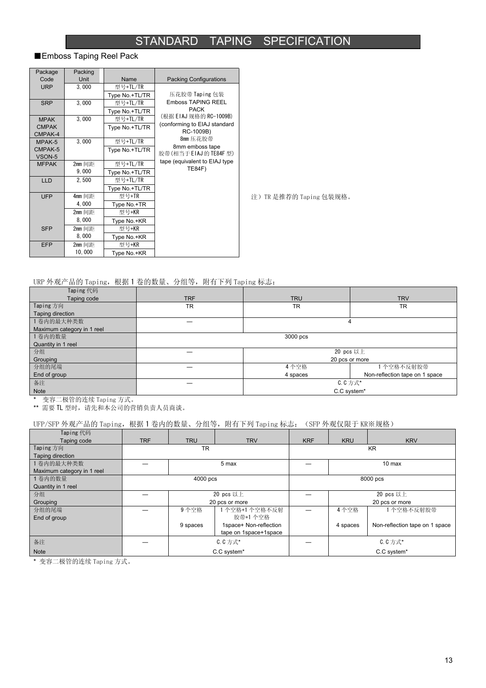### STANDARD TAPING SPECIFICATION

#### ■Emboss Taping Reel Pack

| Package                 | Packing |                |                                           |
|-------------------------|---------|----------------|-------------------------------------------|
| Code                    | Unit    | Name           | <b>Packing Configurations</b>             |
| <b>URP</b>              | 3,000   | 型号+TL/TR       |                                           |
|                         |         | Type No.+TL/TR | 压花胶带 Taping 包装                            |
| <b>SRP</b>              | 3,000   | 型号+TL/TR       | <b>Emboss TAPING REEL</b>                 |
|                         |         | Type No.+TL/TR | <b>PACK</b>                               |
| <b>MPAK</b>             | 3,000   | 型号+TL/TR       | (根据 EIAJ 规格的 RC-1009B)                    |
| <b>CMPAK</b><br>CMPAK-4 |         | Type No.+TL/TR | (conforming to EIAJ standard<br>RC-1009B) |
| MPAK-5                  | 3.000   | 型号+TL/TR       | 8mm 压花胶带                                  |
| CMPAK-5<br>VSON-5       |         | Type No.+TL/TR | 8mm emboss tape<br>胶带(相当于 EIAJ 的 TE84F 型) |
| <b>MFPAK</b>            | 2mm 间距  | 型号+TL/TR       | tape (equivalent to EIAJ type             |
|                         | 9,000   | Type No.+TL/TR | <b>TE84F)</b>                             |
| <b>LLD</b>              | 2,500   | 型号+TL/TR       |                                           |
|                         |         | Type No.+TL/TR |                                           |
| <b>UFP</b>              | 4mm 间距  | 型号+TR          |                                           |
|                         | 4,000   | Type No.+TR    |                                           |
|                         | 2mm 间距  | 型号+KR          |                                           |
|                         | 8,000   | Type No.+KR    |                                           |
| <b>SFP</b>              | 2mm 间距  | 型号+KR          |                                           |
|                         | 8,000   | Type No.+KR    |                                           |
| <b>EFP</b>              | 2mm 间距  | 型号+KR          |                                           |
|                         | 10,000  | Type No.+KR    |                                           |

注)TR 是推荐的 Taping 包装规格。

#### URP 外观产品的 Taping,根据 1 卷的数量、分组等,附有下列 Taping 标志:

| Taping 代码                  |            |                |                                |  |  |  |  |  |  |
|----------------------------|------------|----------------|--------------------------------|--|--|--|--|--|--|
| Taping code                | <b>TRF</b> | <b>TRU</b>     | <b>TRV</b>                     |  |  |  |  |  |  |
| Taping 方向                  | <b>TR</b>  | <b>TR</b>      | <b>TR</b>                      |  |  |  |  |  |  |
| Taping direction           |            |                |                                |  |  |  |  |  |  |
| 1 卷内的最大种类数                 |            | 4              |                                |  |  |  |  |  |  |
| Maximum category in 1 reel |            |                |                                |  |  |  |  |  |  |
| 1卷内的数量                     | 3000 pcs   |                |                                |  |  |  |  |  |  |
| Quantity in 1 reel         |            |                |                                |  |  |  |  |  |  |
| 分组                         |            | $20$ pcs 以上    |                                |  |  |  |  |  |  |
| Grouping                   |            | 20 pcs or more |                                |  |  |  |  |  |  |
| 分组的尾端                      |            | 4个空格           | 1 个空格不反射胶带                     |  |  |  |  |  |  |
| End of group               |            | 4 spaces       | Non-reflection tape on 1 space |  |  |  |  |  |  |
| 备注                         |            | C. C 方式*       |                                |  |  |  |  |  |  |
| Note                       |            | C.C system*    |                                |  |  |  |  |  |  |

\* 变容二极管的连续 Taping 方式。

\*\* 需要 TL 型时, 请先和本公司的营销负责人员商谈。

#### UFP/SFP 外观产品的 Taping, 根据 1 卷内的数量、分组等, 附有下列 Taping 标志: (SFP 外观仅限于 KR※规格)

| Taping 代码                  |            |            |                        |            |                |                                |  |  |
|----------------------------|------------|------------|------------------------|------------|----------------|--------------------------------|--|--|
| Taping code                | <b>TRF</b> | <b>TRU</b> | <b>TRV</b>             | <b>KRF</b> | <b>KRU</b>     | <b>KRV</b>                     |  |  |
| Taping 方向                  |            | <b>TR</b>  |                        | <b>KR</b>  |                |                                |  |  |
| Taping direction           |            |            |                        |            |                |                                |  |  |
| 1 卷内的最大种类数                 |            |            | 5 max                  |            | $10$ max       |                                |  |  |
| Maximum category in 1 reel |            |            |                        |            |                |                                |  |  |
| 1卷内的数量                     |            | 4000 pcs   |                        | 8000 pcs   |                |                                |  |  |
| Quantity in 1 reel         |            |            |                        |            |                |                                |  |  |
| 分组                         |            |            | 20 pcs 以上              |            | 20 pcs 以上      |                                |  |  |
| Grouping                   |            |            | 20 pcs or more         |            | 20 pcs or more |                                |  |  |
| 分组的尾端                      |            | 9个空格       | 1 个空格+1 个空格不反射         |            | 4个空格           | 1个空格不反射胶带                      |  |  |
| End of group               |            |            | 胶带+1 个空格               |            |                |                                |  |  |
|                            |            | 9 spaces   | 1space+ Non-reflection |            | 4 spaces       | Non-reflection tape on 1 space |  |  |
|                            |            |            | tape on 1space+1space  |            |                |                                |  |  |
| 备注                         |            |            | C. C 方式*               |            | C. C 方式*       |                                |  |  |
| <b>Note</b>                |            |            | C.C system*            |            | C.C system*    |                                |  |  |

\* 变容二极管的连续 Taping 方式。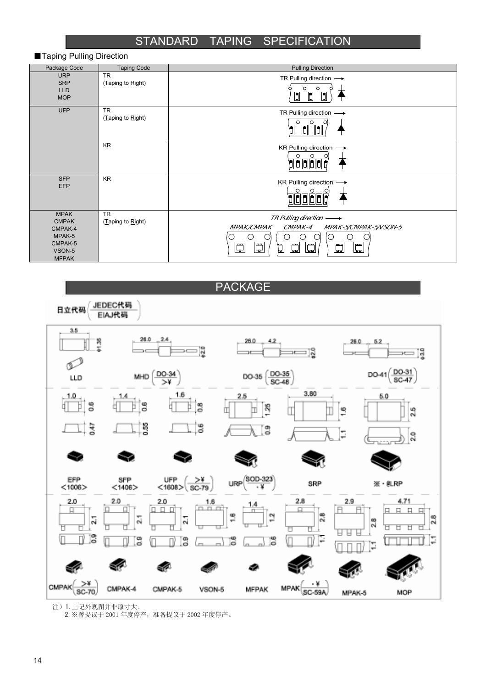### STANDARD TAPING SPECIFICATION

| Package Code                                                                          | <b>Taping Code</b>             | <b>Pulling Direction</b>                                                                                                                                                                                                                                               |
|---------------------------------------------------------------------------------------|--------------------------------|------------------------------------------------------------------------------------------------------------------------------------------------------------------------------------------------------------------------------------------------------------------------|
| <b>URP</b><br><b>SRP</b><br><b>LLD</b><br><b>MOP</b>                                  | <b>TR</b><br>(Taping to Right) | TR Pulling direction $\longrightarrow$<br>O<br>$\circ$<br>$\Box$<br>$\blacksquare$<br>$\blacksquare$                                                                                                                                                                   |
| <b>UFP</b>                                                                            | <b>TR</b><br>(Taping to Right) | TR Pulling direction $\longrightarrow$<br>$\circ$<br>$\circ$<br>ווכ                                                                                                                                                                                                    |
|                                                                                       | KR                             | KR Pulling direction -<br>$\circ$<br>alălalălală                                                                                                                                                                                                                       |
| <b>SFP</b><br><b>EFP</b>                                                              | <b>KR</b>                      | KR Pulling direction $\longrightarrow$                                                                                                                                                                                                                                 |
| <b>MPAK</b><br><b>CMPAK</b><br>CMPAK-4<br>MPAK-5<br>CMPAK-5<br>VSON-5<br><b>MFPAK</b> | <b>TR</b><br>(Taping to Right) | $TR$ Pulling direction $\longrightarrow$<br>MPAK/CMPAK<br>CMPAK-4<br>MPAK-5CMPAK-5NSON-5<br>$\bigcirc$<br>Ο<br>O<br>∩<br>Ω<br>∩<br>O<br>$\overline{\mathbb{D}}$<br>$\boxed{\Box}$<br>$\boxed{\mathbb{C}}$<br>$\mathbb{G}$<br>$\overline{\mathbb{G}}$<br>비<br>$\boxdot$ |



注)1.上记外观图并非原寸大。

■Taping Pulling Direction

<sup>2.</sup>※曾提议于 2001 年度停产,准备提议于 2002 年度停产。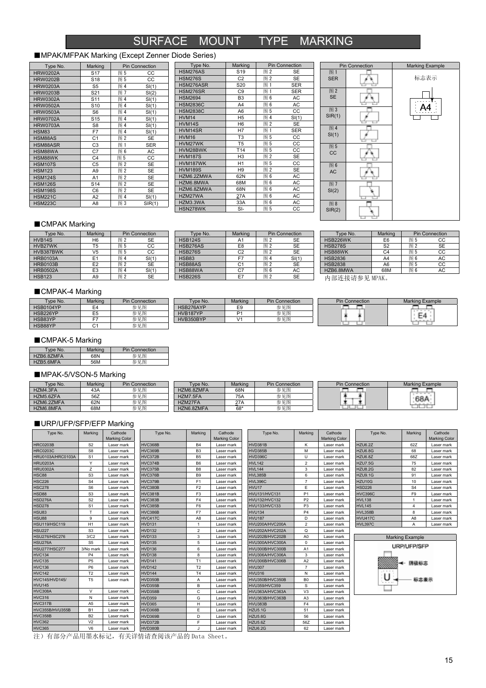## SURFACE MOUNT TYPE MARKING

#### ■MPAK/MFPAK Marking (Except Zenner Diode Series)

| Type No.        | Marking         |     | <b>Pin Connection</b> |
|-----------------|-----------------|-----|-----------------------|
| <b>HRW0202A</b> | S <sub>17</sub> | 图 5 | CC                    |
| <b>HRW0202B</b> | S <sub>18</sub> | 图 5 | CC                    |
| <b>HRW0203A</b> | S <sub>5</sub>  | 图 4 | SI(1)                 |
| <b>HRW0203B</b> | S <sub>21</sub> | 图 7 | SI(2)                 |
| <b>HRW0302A</b> | S <sub>11</sub> | 图 4 | SI(1)                 |
| <b>HRW0502A</b> | S <sub>10</sub> | 图 4 | SI(1)                 |
| <b>HRW0503A</b> | S <sub>6</sub>  | 图 4 | SI(1)                 |
| <b>HRW0702A</b> | S <sub>15</sub> | 图 4 | SI(1)                 |
| <b>HRW0703A</b> | S <sub>8</sub>  | 图 4 | SI(1)                 |
| <b>HSM83</b>    | F7              | 图 4 | SI(1)                 |
| HSM88AS         | C <sub>1</sub>  | 图2  | <b>SE</b>             |
| HSM88ASR        | C <sub>3</sub>  | 图 1 | <b>SER</b>            |
| HSM88WA         | C7              | 图 6 | AC                    |
| HSM88WK         | C <sub>4</sub>  | 图 5 | CC                    |
| <b>HSM107S</b>  | C <sub>5</sub>  | 图2  | <b>SE</b>             |
| <b>HSM123</b>   | A <sub>9</sub>  | 图2  | <b>SE</b>             |
| <b>HSM124S</b>  | A <sub>1</sub>  | 图2  | <b>SE</b>             |
| <b>HSM126S</b>  | S <sub>14</sub> | 图2  | <b>SE</b>             |
| <b>HSM198S</b>  | C <sub>6</sub>  | 图2  | <b>SE</b>             |
| <b>HSM221C</b>  | A2              | 图 4 | SI(1)                 |
| <b>HSM223C</b>  | A <sub>8</sub>  | 图 3 | SIR(1)                |

| Type No.        | Marking         |     | <b>Pin Connection</b> |
|-----------------|-----------------|-----|-----------------------|
| HSM276AS        | S <sub>19</sub> | 图2  | <b>SE</b>             |
| <b>HSM276S</b>  | C <sub>2</sub>  | 图2  | <b>SE</b>             |
| HSM276ASR       | S <sub>20</sub> | 图 1 | <b>SER</b>            |
| <b>HSM276SR</b> | C <sub>9</sub>  | 图 1 | <b>SER</b>            |
| <b>HSM2694</b>  | B <sub>3</sub>  | 图 6 | AC                    |
| <b>HSM2836C</b> | A4              | 图 6 | AC                    |
| <b>HSM2838C</b> | A <sub>6</sub>  | 图 5 | CC                    |
| HVM14           | H <sub>5</sub>  | 图 4 | SI(1)                 |
| HVM14S          | H <sub>6</sub>  | 图2  | <b>SE</b>             |
| HVM14SR         | H7              | 图 1 | <b>SER</b>            |
| <b>HVM16</b>    | T <sub>3</sub>  | 图 5 | CC                    |
| HVM27WK         | T <sub>5</sub>  | 图 5 | CC                    |
| HVM28BWK        | T <sub>14</sub> | 图 5 | CC                    |
| <b>HVM187S</b>  | H <sub>3</sub>  | 图2  | <b>SE</b>             |
| HVM187WK        | H1              | 图 5 | CC                    |
| <b>HVM189S</b>  | H <sub>9</sub>  | 图2  | <b>SE</b>             |
| HZM6.2ZMWA      | 62N             | 图 6 | AC                    |
| HZM6.8MWA       | 68M             | 图 6 | AC                    |
| HZM6.8ZMWA      | 68N             | 图 6 | AC                    |
| HZM27WA         | 27A             | 图 6 | AC                    |
| HZM3.3WA        | 33A             | 图 6 | AC                    |
| HSN278WK        | $S-I$           | 图 5 | CC                    |



#### ■CMPAK Marking

| Type No.            | Marking        | <b>Pin Connection</b> |           | Type No.       | Marking | <b>Pin Connection</b> |           |                |                | Type No. | Marking   |  | <b>Pin Connection</b> |
|---------------------|----------------|-----------------------|-----------|----------------|---------|-----------------------|-----------|----------------|----------------|----------|-----------|--|-----------------------|
| HVB <sub>14</sub> S | H <sub>6</sub> | 图2                    | SE        | <b>HSB124S</b> | A.      | 图                     | <b>SE</b> | HSB226WK       | E <sub>6</sub> | 图と       | CС        |  |                       |
| HVB27WK             | 15             | 图 5                   | CС        | HSB276AS       | E8      | 图2                    | <b>SE</b> | <b>HSB278S</b> | S2             | 图2       | <b>SE</b> |  |                       |
| HVB387BWK           | V5             | 图 5                   | CС        | <b>HSB276S</b> | C2      | 图                     | SE        | HSB88WK        | C4             | 图し       | CC        |  |                       |
| <b>HRB0103A</b>     | E1             | 图 4                   | SI(1)     | <b>HSB83</b>   |         | 图                     | SI(1)     | <b>HSB2836</b> | A4             | 图        | AC        |  |                       |
| <b>HRB0103B</b>     | E <sub>2</sub> | 图2                    | <b>SE</b> | HSB88AS        | C.      | 图                     | <b>SE</b> | <b>HSB2838</b> | A <sub>6</sub> | 图!       | CC        |  |                       |
| <b>HRB0502A</b>     | E3             | 图                     | SI(1)     | HSB88WA        | C7      | 图 6                   | AC        | HZB6.8MWA      | 68M            | 图        | AC        |  |                       |
| <b>HSB123</b>       | A9             | 图2                    | <b>SE</b> | <b>HSB226S</b> | E7      | 图2                    | <b>SE</b> | 内部连接请参见 MPAK。  |                |          |           |  |                       |

#### ■CMPAK-4 Marking

| Type No.  | Marking | <b>Pin Connection</b> | vpe No.   | Marking | <b>Pin Connection</b> | <b>Pin Connection</b> | Marking Example                                      |
|-----------|---------|-----------------------|-----------|---------|-----------------------|-----------------------|------------------------------------------------------|
| HSB0104YP |         | 参见图                   | HSB276AYP | ∽       | 参见图                   |                       | .                                                    |
| HSB226YP  | ᆷ       | 参见图                   | HVB187YP  | D.      | 参见图                   |                       | $\overline{\phantom{a}}$<br>$\overline{\phantom{m}}$ |
| HSB83YP   |         | 参见图                   | HVB350BYP |         | 参见图                   |                       | $\overline{\phantom{a}}$<br>----                     |
| HSB88YP   |         | 参见图                   |           |         |                       |                       |                                                      |

#### ■CMPAK-5 Marking

| Type No.   | Marking | <b>Pin Connection</b> |
|------------|---------|-----------------------|
| HZB6.8ZMFA | 68N     | 参见图                   |
| HZB5.6MFA  | 56M     | 参见图                   |

#### ■MPAK-5/VSON-5 Marking

| Type No.   | Marking | <b>Pin Connection</b> | Type No.   | Marking | <b>Pin Connection</b> | <b>Pin Connection</b> | Marking Example |
|------------|---------|-----------------------|------------|---------|-----------------------|-----------------------|-----------------|
| HZM4.3FA   | 43A     | 参见图                   | HZM6.8ZMFA | 68N     | 参见图                   |                       |                 |
| HZM5.6ZFA  | 56Z     | 参见图                   | HZM7.5FA   | 75A     | 参见图                   |                       | 68A             |
| HZM6.2ZMFA | 62N     | 参见图                   | HZM27FA    | 27A     | 参见图                   |                       |                 |
| HZM6.8MFA  | 68M     | 参见图                   | HZN6.8ZMFA | 68*     | 参见图                   |                       |                 |

#### ■URP/UFP/SFP/EFP Marking

| Type No.                                                                                                                                                                                                                                                                                                                                                                              | Marking        | Cathode              | Type No.       | Marking        | Cathode              | Type No.             | Marking        | Cathode              | Type No.       | Marking                | Cathode              |
|---------------------------------------------------------------------------------------------------------------------------------------------------------------------------------------------------------------------------------------------------------------------------------------------------------------------------------------------------------------------------------------|----------------|----------------------|----------------|----------------|----------------------|----------------------|----------------|----------------------|----------------|------------------------|----------------------|
|                                                                                                                                                                                                                                                                                                                                                                                       |                | <b>Marking Color</b> |                |                | <b>Marking Color</b> |                      |                | <b>Marking Color</b> |                |                        | <b>Marking Color</b> |
| <b>HRC0203B</b>                                                                                                                                                                                                                                                                                                                                                                       | S <sub>2</sub> | Laser mark           | <b>HVC368B</b> | <b>B4</b>      | Laser mark           | HVD381B              | к              | Laser mark           | <b>HZU6.2Z</b> | 62Z                    | Laser mark           |
| <b>HRC0203C</b>                                                                                                                                                                                                                                                                                                                                                                       | S <sub>8</sub> | Laser mark           | <b>HVC369B</b> | B <sub>3</sub> | Laser mark           | HVD385B              | M              | Laser mark           | HZU6.8G        | 68                     | Laser mark           |
| HRU0103A/HRC0103A                                                                                                                                                                                                                                                                                                                                                                     | S <sub>1</sub> | Laser mark           | <b>HVC372B</b> | B <sub>5</sub> | Laser mark           | <b>HVD396C</b>       | U              | Laser mark           | HZU6.8Z        | 68Z                    | Laser mark           |
| <b>HRU0203A</b>                                                                                                                                                                                                                                                                                                                                                                       | Y              | Laser mark           | HVC374B        | B <sub>6</sub> | Laser mark           | <b>HVL142</b>        | $\overline{2}$ | Laser mark           | <b>HZU7.5G</b> | 75                     | Laser mark           |
| <b>HRU0302A</b>                                                                                                                                                                                                                                                                                                                                                                       | Z              | Laser mark           | HVC375B        | B <sub>8</sub> | Laser mark           | <b>HVL144</b>        | 3              | Laser mark           | <b>HZU8.2G</b> | 82                     | Laser mark           |
| <b>HSC88</b>                                                                                                                                                                                                                                                                                                                                                                          | S <sub>3</sub> | Laser mark           | HVC376B        | B <sub>9</sub> | Laser mark           | <b>HVL385B</b>       | 6              | Laser mark           | <b>HZU9.1G</b> | 91                     | Laser mark           |
| <b>HSC226</b>                                                                                                                                                                                                                                                                                                                                                                         | S <sub>4</sub> | Laser mark           | HVC379B        | F <sub>1</sub> | Laser mark           | <b>HVL396C</b>       | $\overline{7}$ | Laser mark           | HZU10G         | 10                     | Laser mark           |
| <b>HSC278</b>                                                                                                                                                                                                                                                                                                                                                                         | S <sub>6</sub> | Laser mark           | <b>HVC380B</b> | F <sub>2</sub> | Laser mark           | HVU17                | E              | Laser mark           | <b>HSD226</b>  | S <sub>4</sub>         | Laser mark           |
| <b>HSD88</b>                                                                                                                                                                                                                                                                                                                                                                          | S <sub>3</sub> | Laser mark           | <b>HVC381B</b> | F <sub>3</sub> | Laser mark           | <b>HVU131/HVC131</b> | P <sub>1</sub> | Laser mark           | <b>HVC396C</b> | F <sub>9</sub>         | Laser mark           |
| <b>HSD276A</b>                                                                                                                                                                                                                                                                                                                                                                        | S <sub>2</sub> | Laser mark           | HVC383B        | F <sub>4</sub> | Laser mark           | <b>HVU132/HVC132</b> | P <sub>2</sub> | Laser mark           | <b>HVL138</b>  |                        | Laser mark           |
| <b>HSD278</b>                                                                                                                                                                                                                                                                                                                                                                         | S <sub>1</sub> | Laser mark           | <b>HVC385B</b> | F <sub>6</sub> | Laser mark           | <b>HVU133/HVC133</b> | P <sub>3</sub> | Laser mark           | <b>HVL145</b>  | $\boldsymbol{\Delta}$  | Laser mark           |
| <b>HSU83</b>                                                                                                                                                                                                                                                                                                                                                                          | T              | Laser mark           | <b>HVC386B</b> | F7             | Laser mark           | <b>HVU134</b>        | P <sub>4</sub> | Laser mark           | <b>HVL358B</b> | 8                      | Laser mark           |
| <b>HSU88</b>                                                                                                                                                                                                                                                                                                                                                                          | 9              | Laser mark           | <b>HVC417C</b> | A <sub>8</sub> | Laser mark           | <b>HVU187</b>        | D              | Laser mark           | <b>HVU417C</b> | A <sub>8</sub>         | Laser mark           |
| <b>HSU119/HSC119</b>                                                                                                                                                                                                                                                                                                                                                                  | H1             | Laser mark           | <b>HVD131</b>  | -1             | Laser mark           | HVU200A/HVC200A      | $\overline{2}$ | Laser mark           | <b>HVL397C</b> | Α                      | Laser mark           |
| <b>HSU227</b>                                                                                                                                                                                                                                                                                                                                                                         | S <sub>3</sub> | Laser mark           | <b>HVD132</b>  | $\overline{2}$ | Laser mark           | HVU202A/HVC202A      | Q              | Laser mark           |                |                        |                      |
| <b>HSU276/HSC276</b>                                                                                                                                                                                                                                                                                                                                                                  | 3/C2           | Laser mark           | <b>HVD133</b>  | 3              | Laser mark           | HVU202B/HVC202B      | A <sub>0</sub> | Laser mark           |                | <b>Marking Example</b> |                      |
| <b>HSU276A</b>                                                                                                                                                                                                                                                                                                                                                                        | S <sub>5</sub> | Laser mark           | <b>HVD135</b>  | 5              | Laser mark           | HVU300A/HVC300A      | $\mathbf 0$    | Laser mark           |                |                        |                      |
| <b>HSU277/HSC277</b>                                                                                                                                                                                                                                                                                                                                                                  | 3/No mark      | Laser mark           | <b>HVD136</b>  | 6              | Laser mark           | HVU300B/HVC300B      | A1             | Laser mark           |                | <b>URP/UFP/SFP</b>     |                      |
| <b>HVC134</b>                                                                                                                                                                                                                                                                                                                                                                         | P <sub>4</sub> | Laser mark           | <b>HVD138</b>  | 8              | Laser mark           | HVU306A/HVC306A      | 3              | Laser mark           |                |                        |                      |
| <b>HVC135</b>                                                                                                                                                                                                                                                                                                                                                                         | <b>P5</b>      | Laser mark           | <b>HVD141</b>  | T1             | Laser mark           | HVU306B/HVC306B      | A2             | Laser mark           |                | 阴极标志                   |                      |
| <b>HVC136</b>                                                                                                                                                                                                                                                                                                                                                                         | P <sub>6</sub> | Laser mark           | <b>HVD142</b>  | T <sub>2</sub> | Laser mark           | <b>HVU307</b>        | $\overline{7}$ | Laser mark           |                |                        |                      |
| <b>HVC142</b>                                                                                                                                                                                                                                                                                                                                                                         | T <sub>2</sub> | Laser mark           | <b>HVD144</b>  | T <sub>4</sub> | Laser mark           | <b>HVU316</b>        | N              | Laser mark           |                |                        |                      |
| <b>HVC145/HVD145/</b>                                                                                                                                                                                                                                                                                                                                                                 | T <sub>5</sub> | Laser mark           | <b>HVD350B</b> | A              | Laser mark           | HVU350B/HVC350B      | B <sub>0</sub> | Laser mark           | .              | 标志表示                   |                      |
| <b>HVU145</b>                                                                                                                                                                                                                                                                                                                                                                         |                |                      | HVD355B        | B              | Laser mark           | <b>HVU359/HVC359</b> | S              | Laser mark           |                |                        |                      |
| <b>HVC308A</b>                                                                                                                                                                                                                                                                                                                                                                        | $\vee$         | Laser mark           | <b>HVD358B</b> | C              | Laser mark           | HVU363A/HVC363A      | V <sub>3</sub> | Laser mark           |                |                        |                      |
| <b>HVC316</b>                                                                                                                                                                                                                                                                                                                                                                         | N              | Laser mark           | <b>HVD359</b>  | G              | Laser mark           | HVU363B/HVC363B      | A3             | Laser mark           |                |                        |                      |
| HVC317B                                                                                                                                                                                                                                                                                                                                                                               | A <sub>5</sub> | Laser mark           | <b>HVD365</b>  | н              | Laser mark           | HVU383B              | F <sub>4</sub> | Laser mark           |                |                        |                      |
| HVC355B/HVU355B                                                                                                                                                                                                                                                                                                                                                                       | <b>B1</b>      | Laser mark           | HVD368B        | E              | Laser mark           | <b>HZU5.1G</b>       | 51             | Laser mark           |                |                        |                      |
| <b>HVC358B</b>                                                                                                                                                                                                                                                                                                                                                                        | B <sub>2</sub> | Laser mark           | HVD369B        | D              | Laser mark           | <b>HZU5.6G</b>       | 56             | Laser mark           |                |                        |                      |
| <b>HVC362</b>                                                                                                                                                                                                                                                                                                                                                                         | V <sub>2</sub> | Laser mark           | HVD372B        | Е              | Laser mark           | HZU5.6Z              | 56Z            | Laser mark           |                |                        |                      |
| <b>HVC365</b>                                                                                                                                                                                                                                                                                                                                                                         | V <sub>6</sub> | Laser mark           | HVD380B        |                | Laser mark           | HZU6.2G              | 62             | Laser mark           |                |                        |                      |
| $\mathcal{L}(\mathcal{L}(\mathcal{L},\mathcal{L})\to\mathcal{L}(\mathcal{L},\mathcal{L})\to\mathcal{L}(\mathcal{L},\mathcal{L})$ , and in the contract $\mathcal{L}(\mathcal{L},\mathcal{L})$ , and $\mathcal{L}(\mathcal{L},\mathcal{L})$ , and $\mathcal{L}(\mathcal{L},\mathcal{L})$ , and $\mathcal{L}(\mathcal{L},\mathcal{L})$ , and $\mathcal{L}(\mathcal{L},\mathcal{L})$ , a |                |                      |                |                |                      |                      |                |                      |                |                        |                      |

注)有部分产品用墨水标记,有关详情请查阅该产品的 Data Sheet。